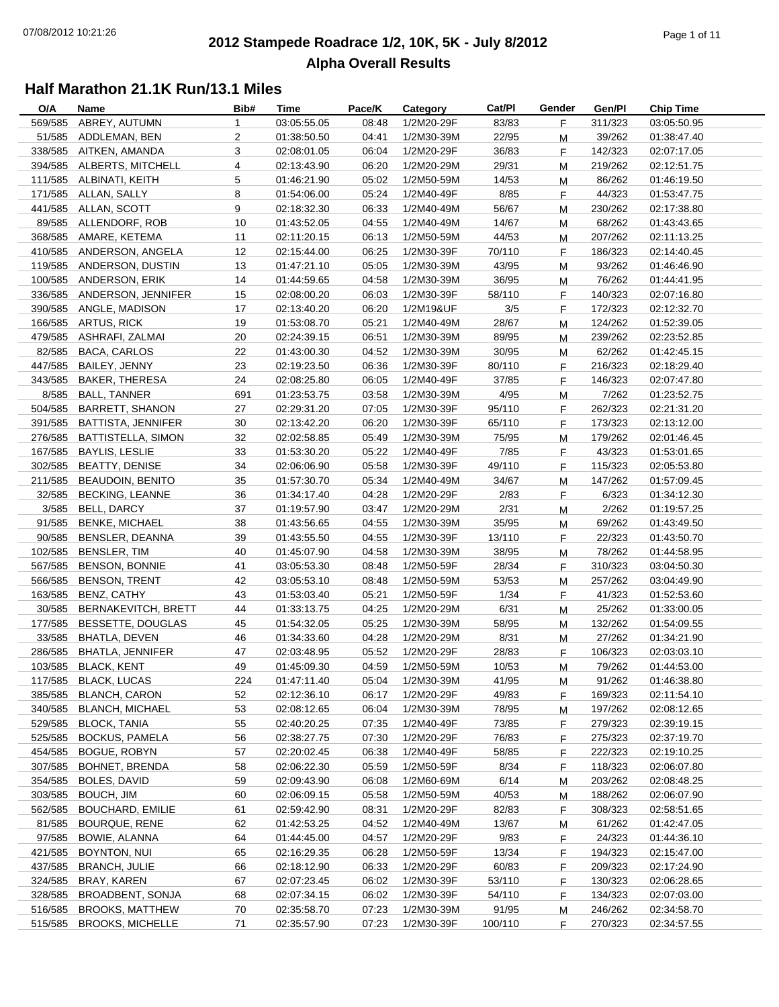#### **2012 Stampede Roadrace 1/2, 10K, 5K - July 8/2012**  $P_1$  of  $P_2$  of  $P_3$  of  $P_4$  of  $P_5$  of  $P_5$  of  $P_6$  of  $P_7$  of  $P_8$  of  $P_9$  of  $P_9$  of  $P_9$  of  $P_9$  of  $P_9$  of  $P_9$  of  $P_9$  of  $P_9$  of  $P_9$  of  $P_9$  of  $P_9$  of  $P_9$  of  $P_9$  of  $P_9$  of  $P_9$  of  $P_9$ **Alpha Overall Results**

| O/A     | Name                       | Bib#           | Time        | Pace/K | Category   | Cat/PI  | Gender | Gen/Pl  | <b>Chip Time</b> |
|---------|----------------------------|----------------|-------------|--------|------------|---------|--------|---------|------------------|
| 569/585 | ABREY, AUTUMN              | 1              | 03:05:55.05 | 08:48  | 1/2M20-29F | 83/83   | F      | 311/323 | 03:05:50.95      |
| 51/585  | ADDLEMAN, BEN              | $\overline{2}$ | 01:38:50.50 | 04:41  | 1/2M30-39M | 22/95   | M      | 39/262  | 01:38:47.40      |
| 338/585 | AITKEN, AMANDA             | 3              | 02:08:01.05 | 06:04  | 1/2M20-29F | 36/83   | F      | 142/323 | 02:07:17.05      |
| 394/585 | ALBERTS, MITCHELL          | 4              | 02:13:43.90 | 06:20  | 1/2M20-29M | 29/31   | M      | 219/262 | 02:12:51.75      |
|         | 111/585 ALBINATI, KEITH    | 5              | 01:46:21.90 | 05:02  | 1/2M50-59M | 14/53   | M      | 86/262  | 01:46:19.50      |
| 171/585 | ALLAN, SALLY               | 8              | 01:54:06.00 | 05:24  | 1/2M40-49F | 8/85    | F      | 44/323  | 01:53:47.75      |
| 441/585 | ALLAN, SCOTT               | 9              | 02:18:32.30 | 06:33  | 1/2M40-49M | 56/67   | M      | 230/262 | 02:17:38.80      |
| 89/585  | ALLENDORF, ROB             | 10             | 01:43:52.05 | 04:55  | 1/2M40-49M | 14/67   | М      | 68/262  | 01:43:43.65      |
| 368/585 | AMARE, KETEMA              | 11             | 02:11:20.15 | 06:13  | 1/2M50-59M | 44/53   | M      | 207/262 | 02:11:13.25      |
| 410/585 | ANDERSON, ANGELA           | 12             | 02:15:44.00 | 06:25  | 1/2M30-39F | 70/110  | F      | 186/323 | 02:14:40.45      |
| 119/585 | ANDERSON, DUSTIN           | 13             | 01:47:21.10 | 05:05  | 1/2M30-39M | 43/95   | M      | 93/262  | 01:46:46.90      |
| 100/585 | ANDERSON, ERIK             | 14             | 01:44:59.65 | 04:58  | 1/2M30-39M | 36/95   | M      | 76/262  | 01:44:41.95      |
|         | 336/585 ANDERSON, JENNIFER | 15             | 02:08:00.20 | 06:03  | 1/2M30-39F | 58/110  | F      | 140/323 | 02:07:16.80      |
|         | 390/585 ANGLE, MADISON     | 17             | 02:13:40.20 | 06:20  | 1/2M19&UF  | 3/5     | F      | 172/323 | 02:12:32.70      |
|         | 166/585 ARTUS, RICK        | 19             | 01:53:08.70 | 05:21  | 1/2M40-49M | 28/67   |        | 124/262 |                  |
|         | 479/585 ASHRAFI, ZALMAI    |                |             |        |            |         | М      |         | 01:52:39.05      |
|         |                            | 20             | 02:24:39.15 | 06:51  | 1/2M30-39M | 89/95   | М      | 239/262 | 02:23:52.85      |
| 82/585  | <b>BACA, CARLOS</b>        | 22             | 01:43:00.30 | 04:52  | 1/2M30-39M | 30/95   | M      | 62/262  | 01:42:45.15      |
| 447/585 | BAILEY, JENNY              | 23             | 02:19:23.50 | 06:36  | 1/2M30-39F | 80/110  | F      | 216/323 | 02:18:29.40      |
| 343/585 | <b>BAKER, THERESA</b>      | 24             | 02:08:25.80 | 06:05  | 1/2M40-49F | 37/85   | F      | 146/323 | 02:07:47.80      |
| 8/585   | <b>BALL, TANNER</b>        | 691            | 01:23:53.75 | 03:58  | 1/2M30-39M | 4/95    | M      | 7/262   | 01:23:52.75      |
| 504/585 | <b>BARRETT, SHANON</b>     | 27             | 02:29:31.20 | 07:05  | 1/2M30-39F | 95/110  | F      | 262/323 | 02:21:31.20      |
| 391/585 | BATTISTA, JENNIFER         | 30             | 02:13:42.20 | 06:20  | 1/2M30-39F | 65/110  | F.     | 173/323 | 02:13:12.00      |
| 276/585 | <b>BATTISTELLA, SIMON</b>  | 32             | 02:02:58.85 | 05:49  | 1/2M30-39M | 75/95   | M      | 179/262 | 02:01:46.45      |
| 167/585 | <b>BAYLIS, LESLIE</b>      | 33             | 01:53:30.20 | 05:22  | 1/2M40-49F | 7/85    | F      | 43/323  | 01:53:01.65      |
| 302/585 | <b>BEATTY, DENISE</b>      | 34             | 02:06:06.90 | 05:58  | 1/2M30-39F | 49/110  | F      | 115/323 | 02:05:53.80      |
| 211/585 | <b>BEAUDOIN, BENITO</b>    | 35             | 01:57:30.70 | 05:34  | 1/2M40-49M | 34/67   | M      | 147/262 | 01:57:09.45      |
| 32/585  | <b>BECKING, LEANNE</b>     | 36             | 01:34:17.40 | 04:28  | 1/2M20-29F | 2/83    | F.     | 6/323   | 01:34:12.30      |
| 3/585   | BELL, DARCY                | 37             | 01:19:57.90 | 03:47  | 1/2M20-29M | 2/31    | M      | 2/262   | 01:19:57.25      |
| 91/585  | <b>BENKE, MICHAEL</b>      | 38             | 01:43:56.65 | 04:55  | 1/2M30-39M | 35/95   | M      | 69/262  | 01:43:49.50      |
| 90/585  | BENSLER, DEANNA            | 39             | 01:43:55.50 | 04:55  | 1/2M30-39F | 13/110  | F      | 22/323  | 01:43:50.70      |
| 102/585 | <b>BENSLER, TIM</b>        | 40             | 01:45:07.90 | 04:58  | 1/2M30-39M | 38/95   | M      | 78/262  | 01:44:58.95      |
| 567/585 | <b>BENSON, BONNIE</b>      | 41             | 03:05:53.30 | 08:48  | 1/2M50-59F | 28/34   | F      | 310/323 | 03:04:50.30      |
| 566/585 | <b>BENSON, TRENT</b>       | 42             | 03:05:53.10 | 08:48  | 1/2M50-59M | 53/53   | М      | 257/262 | 03:04:49.90      |
| 163/585 | BENZ, CATHY                | 43             | 01:53:03.40 | 05:21  | 1/2M50-59F | 1/34    | F      | 41/323  | 01:52:53.60      |
| 30/585  | BERNAKEVITCH, BRETT        | 44             | 01:33:13.75 | 04:25  | 1/2M20-29M | 6/31    | M      | 25/262  | 01:33:00.05      |
| 177/585 | BESSETTE, DOUGLAS          | 45             | 01:54:32.05 | 05:25  | 1/2M30-39M | 58/95   | M      | 132/262 | 01:54:09.55      |
| 33/585  | <b>BHATLA, DEVEN</b>       | 46             | 01:34:33.60 | 04:28  | 1/2M20-29M | 8/31    | M      | 27/262  | 01:34:21.90      |
| 286/585 | <b>BHATLA, JENNIFER</b>    | 47             | 02:03:48.95 | 05:52  | 1/2M20-29F | 28/83   | F      | 106/323 | 02:03:03.10      |
|         | 103/585 BLACK, KENT        | 49             | 01:45:09.30 | 04:59  | 1/2M50-59M | 10/53   | M      | 79/262  | 01:44:53.00      |
|         | 117/585 BLACK, LUCAS       | 224            | 01:47:11.40 | 05:04  | 1/2M30-39M | 41/95   | M      | 91/262  | 01:46:38.80      |
|         | 385/585 BLANCH, CARON      | 52             | 02:12:36.10 | 06:17  | 1/2M20-29F | 49/83   | F.     | 169/323 | 02:11:54.10      |
|         | 340/585 BLANCH, MICHAEL    | 53             | 02:08:12.65 | 06:04  | 1/2M30-39M | 78/95   | M      | 197/262 | 02:08:12.65      |
|         | 529/585 BLOCK, TANIA       | 55             | 02:40:20.25 | 07:35  | 1/2M40-49F | 73/85   | F.     | 279/323 | 02:39:19.15      |
| 525/585 | <b>BOCKUS, PAMELA</b>      | 56             | 02:38:27.75 | 07:30  | 1/2M20-29F | 76/83   | F      | 275/323 | 02:37:19.70      |
| 454/585 | <b>BOGUE, ROBYN</b>        | 57             | 02:20:02.45 | 06:38  | 1/2M40-49F | 58/85   | F.     | 222/323 | 02:19:10.25      |
| 307/585 | <b>BOHNET, BRENDA</b>      | 58             | 02:06:22.30 | 05:59  | 1/2M50-59F | 8/34    | F.     | 118/323 | 02:06:07.80      |
| 354/585 | BOLES, DAVID               | 59             | 02:09:43.90 | 06:08  | 1/2M60-69M | 6/14    | M      | 203/262 | 02:08:48.25      |
| 303/585 | BOUCH, JIM                 | 60             | 02:06:09.15 | 05:58  | 1/2M50-59M | 40/53   | M      | 188/262 | 02:06:07.90      |
| 562/585 | <b>BOUCHARD, EMILIE</b>    | 61             | 02:59:42.90 | 08:31  | 1/2M20-29F | 82/83   | F      | 308/323 | 02:58:51.65      |
| 81/585  | <b>BOURQUE, RENE</b>       | 62             | 01:42:53.25 | 04:52  | 1/2M40-49M | 13/67   | M      | 61/262  | 01:42:47.05      |
| 97/585  | BOWIE, ALANNA              | 64             | 01:44:45.00 | 04:57  | 1/2M20-29F | 9/83    | F.     | 24/323  | 01:44:36.10      |
| 421/585 | BOYNTON, NUI               | 65             | 02:16:29.35 | 06:28  | 1/2M50-59F | 13/34   | F      | 194/323 | 02:15:47.00      |
| 437/585 | <b>BRANCH, JULIE</b>       | 66             | 02:18:12.90 | 06:33  | 1/2M20-29F | 60/83   | F      | 209/323 | 02:17:24.90      |
| 324/585 | BRAY, KAREN                | 67             | 02:07:23.45 | 06:02  | 1/2M30-39F | 53/110  | F.     | 130/323 | 02:06:28.65      |
| 328/585 | <b>BROADBENT, SONJA</b>    | 68             | 02:07:34.15 | 06:02  | 1/2M30-39F | 54/110  | F.     | 134/323 | 02:07:03.00      |
| 516/585 | <b>BROOKS, MATTHEW</b>     | 70             | 02:35:58.70 | 07:23  | 1/2M30-39M | 91/95   | M      | 246/262 | 02:34:58.70      |
|         | 515/585 BROOKS, MICHELLE   | 71             | 02:35:57.90 | 07:23  | 1/2M30-39F | 100/110 | F.     | 270/323 | 02:34:57.55      |
|         |                            |                |             |        |            |         |        |         |                  |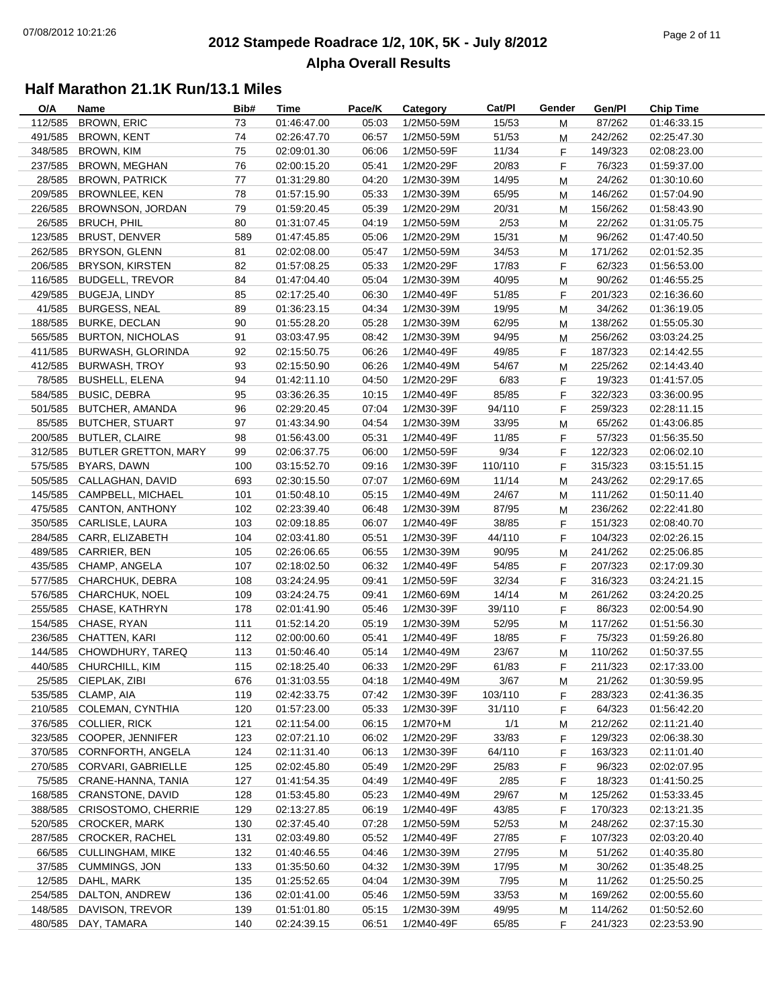#### **2012 Stampede Roadrace 1/2, 10K, 5K - July 8/2012**  $P_1$  of  $P_2$  of  $P_3$  of  $P_4$  of  $P_5$  of  $P_5$  of  $P_6$  of  $P_7$  of  $P_8$  of  $P_7$  of  $P_8$  of  $P_9$  of  $P_9$  of  $P_9$  of  $P_9$  of  $P_9$  of  $P_9$  of  $P_9$  of  $P_9$  of  $P_9$  of  $P_9$  of  $P_9$  of  $P_9$  of  $P_9$  of  $P_9$ **Alpha Overall Results**

| O/A     | Name                        | Bib#       | Time                       | Pace/K         | Category     | Cat/PI  | Gender | Gen/Pl            | <b>Chip Time</b>           |
|---------|-----------------------------|------------|----------------------------|----------------|--------------|---------|--------|-------------------|----------------------------|
| 112/585 | <b>BROWN, ERIC</b>          | 73         | 01:46:47.00                | 05:03          | 1/2M50-59M   | 15/53   | М      | 87/262            | 01:46:33.15                |
| 491/585 | <b>BROWN, KENT</b>          | 74         | 02:26:47.70                | 06:57          | 1/2M50-59M   | 51/53   | M      | 242/262           | 02:25:47.30                |
| 348/585 | <b>BROWN, KIM</b>           | 75         | 02:09:01.30                | 06:06          | 1/2M50-59F   | 11/34   | F      | 149/323           | 02:08:23.00                |
| 237/585 | <b>BROWN, MEGHAN</b>        | 76         | 02:00:15.20                | 05:41          | 1/2M20-29F   | 20/83   | F      | 76/323            | 01:59:37.00                |
| 28/585  | <b>BROWN, PATRICK</b>       | 77         | 01:31:29.80                | 04:20          | 1/2M30-39M   | 14/95   | M      | 24/262            | 01:30:10.60                |
| 209/585 | BROWNLEE, KEN               | 78         | 01:57:15.90                | 05:33          | 1/2M30-39M   | 65/95   | M      | 146/262           | 01:57:04.90                |
| 226/585 | BROWNSON, JORDAN            | 79         | 01:59:20.45                | 05:39          | 1/2M20-29M   | 20/31   | M      | 156/262           | 01:58:43.90                |
| 26/585  | <b>BRUCH, PHIL</b>          | 80         | 01:31:07.45                | 04:19          | 1/2M50-59M   | 2/53    | M      | 22/262            | 01:31:05.75                |
| 123/585 | <b>BRUST, DENVER</b>        | 589        | 01:47:45.85                | 05:06          | 1/2M20-29M   | 15/31   | M      | 96/262            | 01:47:40.50                |
| 262/585 | BRYSON, GLENN               | 81         | 02:02:08.00                | 05:47          | 1/2M50-59M   | 34/53   | М      | 171/262           | 02:01:52.35                |
| 206/585 | <b>BRYSON, KIRSTEN</b>      | 82         | 01:57:08.25                | 05:33          | 1/2M20-29F   | 17/83   | F      | 62/323            | 01:56:53.00                |
| 116/585 | <b>BUDGELL, TREVOR</b>      | 84         | 01:47:04.40                | 05:04          | 1/2M30-39M   | 40/95   | M      | 90/262            | 01:46:55.25                |
| 429/585 | BUGEJA, LINDY               | 85         | 02:17:25.40                | 06:30          | 1/2M40-49F   | 51/85   | F      | 201/323           | 02:16:36.60                |
| 41/585  | <b>BURGESS, NEAL</b>        | 89         | 01:36:23.15                | 04:34          | 1/2M30-39M   | 19/95   | M      | 34/262            | 01:36:19.05                |
| 188/585 | <b>BURKE, DECLAN</b>        | 90         | 01:55:28.20                | 05:28          | 1/2M30-39M   | 62/95   | M      | 138/262           | 01:55:05.30                |
| 565/585 | <b>BURTON, NICHOLAS</b>     | 91         | 03:03:47.95                | 08:42          | 1/2M30-39M   | 94/95   | М      | 256/262           | 03:03:24.25                |
| 411/585 | BURWASH, GLORINDA           | 92         | 02:15:50.75                | 06:26          | 1/2M40-49F   | 49/85   | F      | 187/323           | 02:14:42.55                |
| 412/585 | <b>BURWASH, TROY</b>        | 93         | 02:15:50.90                | 06:26          | 1/2M40-49M   | 54/67   | М      | 225/262           | 02:14:43.40                |
| 78/585  | <b>BUSHELL, ELENA</b>       | 94         | 01:42:11.10                | 04:50          | 1/2M20-29F   | 6/83    | F.     | 19/323            | 01:41:57.05                |
| 584/585 | <b>BUSIC, DEBRA</b>         | 95         | 03:36:26.35                | 10:15          | 1/2M40-49F   | 85/85   | F      | 322/323           | 03:36:00.95                |
| 501/585 | BUTCHER, AMANDA             | 96         | 02:29:20.45                | 07:04          | 1/2M30-39F   | 94/110  | F      | 259/323           | 02:28:11.15                |
| 85/585  | <b>BUTCHER, STUART</b>      | 97         | 01:43:34.90                | 04:54          | 1/2M30-39M   | 33/95   | M      | 65/262            | 01:43:06.85                |
| 200/585 | <b>BUTLER, CLAIRE</b>       | 98         | 01:56:43.00                | 05:31          | 1/2M40-49F   | 11/85   | F      | 57/323            | 01:56:35.50                |
| 312/585 | <b>BUTLER GRETTON, MARY</b> | 99         | 02:06:37.75                | 06:00          | 1/2M50-59F   | 9/34    | F      | 122/323           | 02:06:02.10                |
| 575/585 | BYARS, DAWN                 | 100        | 03:15:52.70                | 09:16          | 1/2M30-39F   | 110/110 | F      | 315/323           | 03:15:51.15                |
| 505/585 | CALLAGHAN, DAVID            | 693        | 02:30:15.50                | 07:07          | 1/2M60-69M   | 11/14   | M      | 243/262           | 02:29:17.65                |
| 145/585 | CAMPBELL, MICHAEL           | 101        | 01:50:48.10                | 05:15          | 1/2M40-49M   | 24/67   | M      | 111/262           | 01:50:11.40                |
| 475/585 | CANTON, ANTHONY             | 102        | 02:23:39.40                | 06:48          | 1/2M30-39M   | 87/95   | M      | 236/262           | 02:22:41.80                |
| 350/585 | CARLISLE, LAURA             | 103        | 02:09:18.85                | 06:07          | 1/2M40-49F   | 38/85   | F      | 151/323           | 02:08:40.70                |
| 284/585 | CARR, ELIZABETH             | 104        | 02:03:41.80                | 05:51          | 1/2M30-39F   | 44/110  | F.     | 104/323           | 02:02:26.15                |
| 489/585 | CARRIER, BEN                | 105        | 02:26:06.65                | 06:55          | 1/2M30-39M   | 90/95   |        | 241/262           | 02:25:06.85                |
| 435/585 | CHAMP, ANGELA               | 107        | 02:18:02.50                | 06:32          | 1/2M40-49F   | 54/85   | M      | 207/323           | 02:17:09.30                |
| 577/585 | CHARCHUK, DEBRA             |            |                            |                | 1/2M50-59F   | 32/34   | F      | 316/323           |                            |
| 576/585 | CHARCHUK, NOEL              | 108<br>109 | 03:24:24.95                | 09:41          | 1/2M60-69M   | 14/14   | F      |                   | 03:24:21.15                |
| 255/585 | CHASE, KATHRYN              | 178        | 03:24:24.75<br>02:01:41.90 | 09:41<br>05:46 | 1/2M30-39F   |         | М      | 261/262<br>86/323 | 03:24:20.25                |
|         |                             |            |                            |                |              | 39/110  | F.     |                   | 02:00:54.90<br>01:51:56.30 |
| 154/585 | CHASE, RYAN                 | 111        | 01:52:14.20                | 05:19          | 1/2M30-39M   | 52/95   | M      | 117/262           |                            |
| 236/585 | CHATTEN, KARI               | 112        | 02:00:00.60                | 05:41          | 1/2M40-49F   | 18/85   | F.     | 75/323            | 01:59:26.80                |
| 144/585 | CHOWDHURY, TAREQ            | 113        | 01:50:46.40                | 05:14          | 1/2M40-49M   | 23/67   | M      | 110/262           | 01:50:37.55                |
|         | 440/585 CHURCHILL, KIM      | 115        | 02:18:25.40                | 06:33          | 1/2M20-29F   | 61/83   | F      | 211/323           | 02:17:33.00                |
|         | 25/585 CIEPLAK, ZIBI        | 676        | 01:31:03.55                | 04:18          | 1/2M40-49M   | 3/67    | M      | 21/262            | 01:30:59.95                |
| 535/585 | CLAMP, AIA                  | 119        | 02:42:33.75                | 07:42          | 1/2M30-39F   | 103/110 | F.     | 283/323           | 02:41:36.35                |
| 210/585 | COLEMAN, CYNTHIA            | 120        | 01:57:23.00                | 05:33          | 1/2M30-39F   | 31/110  | F.     | 64/323            | 01:56:42.20                |
| 376/585 | <b>COLLIER, RICK</b>        | 121        | 02:11:54.00                | 06:15          | $1/2M70 + M$ | 1/1     | М      | 212/262           | 02:11:21.40                |
| 323/585 | COOPER, JENNIFER            | 123        | 02:07:21.10                | 06:02          | 1/2M20-29F   | 33/83   | F      | 129/323           | 02:06:38.30                |
| 370/585 | CORNFORTH, ANGELA           | 124        | 02:11:31.40                | 06:13          | 1/2M30-39F   | 64/110  | F      | 163/323           | 02:11:01.40                |
| 270/585 | CORVARI, GABRIELLE          | 125        | 02:02:45.80                | 05:49          | 1/2M20-29F   | 25/83   | F      | 96/323            | 02:02:07.95                |
| 75/585  | CRANE-HANNA, TANIA          | 127        | 01:41:54.35                | 04:49          | 1/2M40-49F   | 2/85    | F      | 18/323            | 01:41:50.25                |
| 168/585 | CRANSTONE, DAVID            | 128        | 01:53:45.80                | 05:23          | 1/2M40-49M   | 29/67   | M      | 125/262           | 01:53:33.45                |
| 388/585 | <b>CRISOSTOMO, CHERRIE</b>  | 129        | 02:13:27.85                | 06:19          | 1/2M40-49F   | 43/85   | F      | 170/323           | 02:13:21.35                |
| 520/585 | <b>CROCKER, MARK</b>        | 130        | 02:37:45.40                | 07:28          | 1/2M50-59M   | 52/53   | M      | 248/262           | 02:37:15.30                |
| 287/585 | <b>CROCKER, RACHEL</b>      | 131        | 02:03:49.80                | 05:52          | 1/2M40-49F   | 27/85   | F      | 107/323           | 02:03:20.40                |
| 66/585  | <b>CULLINGHAM, MIKE</b>     | 132        | 01:40:46.55                | 04:46          | 1/2M30-39M   | 27/95   | M      | 51/262            | 01:40:35.80                |
| 37/585  | <b>CUMMINGS, JON</b>        | 133        | 01:35:50.60                | 04:32          | 1/2M30-39M   | 17/95   | M      | 30/262            | 01:35:48.25                |
| 12/585  | DAHL, MARK                  | 135        | 01:25:52.65                | 04:04          | 1/2M30-39M   | 7/95    | M      | 11/262            | 01:25:50.25                |
| 254/585 | DALTON, ANDREW              | 136        | 02:01:41.00                | 05:46          | 1/2M50-59M   | 33/53   | M      | 169/262           | 02:00:55.60                |
| 148/585 | DAVISON, TREVOR             | 139        | 01:51:01.80                | 05:15          | 1/2M30-39M   | 49/95   | M      | 114/262           | 01:50:52.60                |
| 480/585 | DAY, TAMARA                 | 140        | 02:24:39.15                | 06:51          | 1/2M40-49F   | 65/85   | F      | 241/323           | 02:23:53.90                |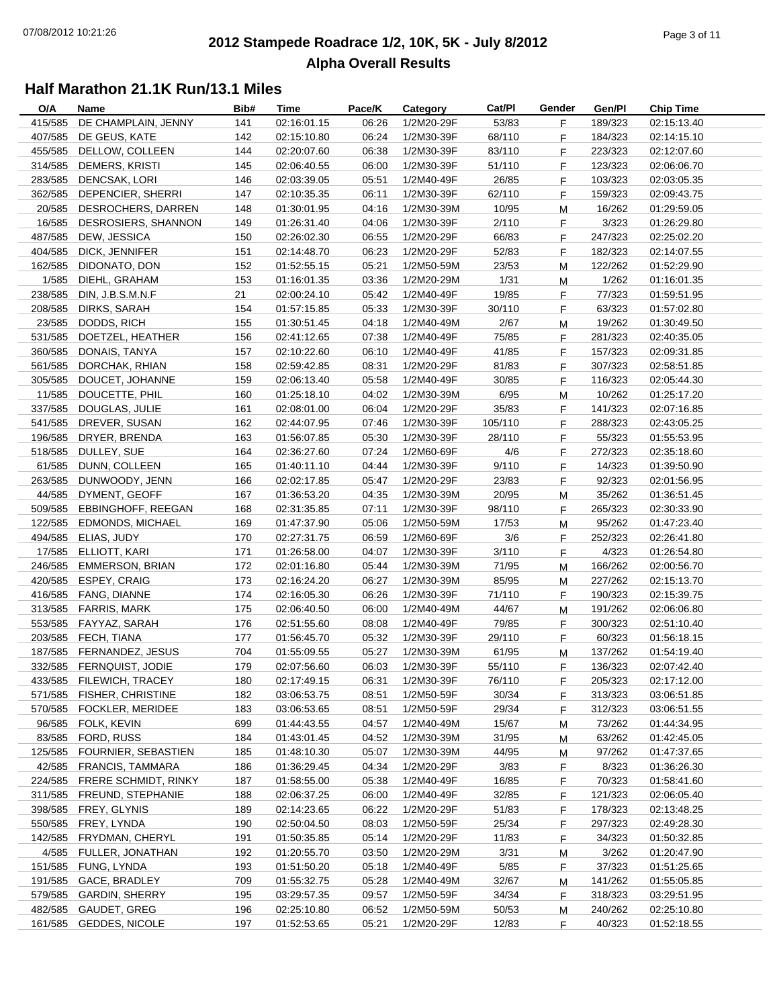#### **2012 Stampede Roadrace 1/2, 10K, 5K - July 8/2012**  $P_1$  of  $P_2$  of  $P_3$  of  $P_4$  of  $P_5$  of  $P_5$  of  $P_6$  of  $P_7$  of  $P_8$  of  $P_7$  of  $P_8$  of  $P_9$  of  $P_9$  of  $P_9$  of  $P_9$  of  $P_9$  of  $P_9$  of  $P_9$  of  $P_9$  of  $P_9$  of  $P_9$  of  $P_9$  of  $P_9$  of  $P_9$  of  $P_9$ **Alpha Overall Results**

| O/A     | Name                     | Bib# | Time        | Pace/K | Category   | Cat/Pl  | Gender | Gen/Pl  | <b>Chip Time</b> |
|---------|--------------------------|------|-------------|--------|------------|---------|--------|---------|------------------|
| 415/585 | DE CHAMPLAIN, JENNY      | 141  | 02:16:01.15 | 06:26  | 1/2M20-29F | 53/83   | F      | 189/323 | 02:15:13.40      |
| 407/585 | DE GEUS, KATE            | 142  | 02:15:10.80 | 06:24  | 1/2M30-39F | 68/110  | F      | 184/323 | 02:14:15.10      |
| 455/585 | DELLOW, COLLEEN          | 144  | 02:20:07.60 | 06:38  | 1/2M30-39F | 83/110  | F      | 223/323 | 02:12:07.60      |
| 314/585 | DEMERS, KRISTI           | 145  | 02:06:40.55 | 06:00  | 1/2M30-39F | 51/110  | F      | 123/323 | 02:06:06.70      |
| 283/585 | DENCSAK, LORI            | 146  | 02:03:39.05 | 05:51  | 1/2M40-49F | 26/85   | F      | 103/323 | 02:03:05.35      |
| 362/585 | DEPENCIER, SHERRI        | 147  | 02:10:35.35 | 06:11  | 1/2M30-39F | 62/110  | F.     | 159/323 | 02:09:43.75      |
| 20/585  | DESROCHERS, DARREN       | 148  | 01:30:01.95 | 04:16  | 1/2M30-39M | 10/95   | M      | 16/262  | 01:29:59.05      |
| 16/585  | DESROSIERS, SHANNON      | 149  | 01:26:31.40 | 04:06  | 1/2M30-39F | 2/110   | F      | 3/323   | 01:26:29.80      |
| 487/585 | DEW, JESSICA             | 150  | 02:26:02.30 | 06:55  | 1/2M20-29F | 66/83   | F      | 247/323 | 02:25:02.20      |
| 404/585 | DICK, JENNIFER           | 151  | 02:14:48.70 | 06:23  | 1/2M20-29F | 52/83   | F      | 182/323 | 02:14:07.55      |
| 162/585 | DIDONATO, DON            | 152  | 01:52:55.15 | 05:21  | 1/2M50-59M | 23/53   | M      | 122/262 | 01:52:29.90      |
| 1/585   | DIEHL, GRAHAM            | 153  | 01:16:01.35 | 03:36  | 1/2M20-29M | 1/31    | M      | 1/262   | 01:16:01.35      |
| 238/585 | DIN, J.B.S.M.N.F         | 21   | 02:00:24.10 | 05:42  | 1/2M40-49F | 19/85   | F      | 77/323  | 01:59:51.95      |
| 208/585 | DIRKS, SARAH             | 154  | 01:57:15.85 | 05:33  | 1/2M30-39F | 30/110  | F.     | 63/323  | 01:57:02.80      |
| 23/585  | DODDS, RICH              | 155  | 01:30:51.45 | 04:18  | 1/2M40-49M | 2/67    | М      | 19/262  | 01:30:49.50      |
| 531/585 | DOETZEL, HEATHER         | 156  | 02:41:12.65 | 07:38  | 1/2M40-49F | 75/85   | F      | 281/323 | 02:40:35.05      |
| 360/585 | DONAIS, TANYA            | 157  | 02:10:22.60 | 06:10  | 1/2M40-49F | 41/85   | F      | 157/323 | 02:09:31.85      |
| 561/585 | DORCHAK, RHIAN           | 158  | 02:59:42.85 | 08:31  | 1/2M20-29F | 81/83   | F.     | 307/323 | 02:58:51.85      |
| 305/585 | DOUCET, JOHANNE          | 159  | 02:06:13.40 | 05:58  | 1/2M40-49F | 30/85   | F.     | 116/323 | 02:05:44.30      |
| 11/585  | DOUCETTE, PHIL           | 160  | 01:25:18.10 | 04:02  | 1/2M30-39M | 6/95    |        | 10/262  |                  |
|         |                          |      |             |        | 1/2M20-29F |         | M      | 141/323 | 01:25:17.20      |
| 337/585 | DOUGLAS, JULIE           | 161  | 02:08:01.00 | 06:04  |            | 35/83   | F      |         | 02:07:16.85      |
| 541/585 | DREVER, SUSAN            | 162  | 02:44:07.95 | 07:46  | 1/2M30-39F | 105/110 | F.     | 288/323 | 02:43:05.25      |
| 196/585 | DRYER, BRENDA            | 163  | 01:56:07.85 | 05:30  | 1/2M30-39F | 28/110  | F.     | 55/323  | 01:55:53.95      |
| 518/585 | DULLEY, SUE              | 164  | 02:36:27.60 | 07:24  | 1/2M60-69F | 4/6     | F      | 272/323 | 02:35:18.60      |
| 61/585  | DUNN, COLLEEN            | 165  | 01:40:11.10 | 04:44  | 1/2M30-39F | 9/110   | F      | 14/323  | 01:39:50.90      |
| 263/585 | DUNWOODY, JENN           | 166  | 02:02:17.85 | 05:47  | 1/2M20-29F | 23/83   | F      | 92/323  | 02:01:56.95      |
| 44/585  | DYMENT, GEOFF            | 167  | 01:36:53.20 | 04:35  | 1/2M30-39M | 20/95   | M      | 35/262  | 01:36:51.45      |
| 509/585 | EBBINGHOFF, REEGAN       | 168  | 02:31:35.85 | 07:11  | 1/2M30-39F | 98/110  | F      | 265/323 | 02:30:33.90      |
| 122/585 | EDMONDS, MICHAEL         | 169  | 01:47:37.90 | 05:06  | 1/2M50-59M | 17/53   | M      | 95/262  | 01:47:23.40      |
| 494/585 | ELIAS, JUDY              | 170  | 02:27:31.75 | 06:59  | 1/2M60-69F | 3/6     | F      | 252/323 | 02:26:41.80      |
| 17/585  | ELLIOTT, KARI            | 171  | 01:26:58.00 | 04:07  | 1/2M30-39F | 3/110   | F      | 4/323   | 01:26:54.80      |
| 246/585 | <b>EMMERSON, BRIAN</b>   | 172  | 02:01:16.80 | 05:44  | 1/2M30-39M | 71/95   | М      | 166/262 | 02:00:56.70      |
| 420/585 | <b>ESPEY, CRAIG</b>      | 173  | 02:16:24.20 | 06:27  | 1/2M30-39M | 85/95   | М      | 227/262 | 02:15:13.70      |
| 416/585 | FANG, DIANNE             | 174  | 02:16:05.30 | 06:26  | 1/2M30-39F | 71/110  | F      | 190/323 | 02:15:39.75      |
| 313/585 | <b>FARRIS, MARK</b>      | 175  | 02:06:40.50 | 06:00  | 1/2M40-49M | 44/67   | M      | 191/262 | 02:06:06.80      |
| 553/585 | FAYYAZ, SARAH            | 176  | 02:51:55.60 | 08:08  | 1/2M40-49F | 79/85   | F      | 300/323 | 02:51:10.40      |
| 203/585 | FECH, TIANA              | 177  | 01:56:45.70 | 05:32  | 1/2M30-39F | 29/110  | F.     | 60/323  | 01:56:18.15      |
| 187/585 | FERNANDEZ, JESUS         | 704  | 01:55:09.55 | 05:27  | 1/2M30-39M | 61/95   | M      | 137/262 | 01:54:19.40      |
|         | 332/585 FERNQUIST, JODIE | 179  | 02:07:56.60 | 06:03  | 1/2M30-39F | 55/110  | F.     | 136/323 | 02:07:42.40      |
|         | 433/585 FILEWICH, TRACEY | 180  | 02:17:49.15 | 06:31  | 1/2M30-39F | 76/110  | F.     | 205/323 | 02:17:12.00      |
| 571/585 | <b>FISHER, CHRISTINE</b> | 182  | 03:06:53.75 | 08:51  | 1/2M50-59F | 30/34   | F.     | 313/323 | 03:06:51.85      |
| 570/585 | FOCKLER, MERIDEE         | 183  | 03:06:53.65 | 08:51  | 1/2M50-59F | 29/34   | F.     | 312/323 | 03:06:51.55      |
| 96/585  | FOLK, KEVIN              | 699  | 01:44:43.55 | 04:57  | 1/2M40-49M | 15/67   | M      | 73/262  | 01:44:34.95      |
| 83/585  | FORD, RUSS               | 184  | 01:43:01.45 | 04:52  | 1/2M30-39M | 31/95   | M      | 63/262  | 01:42:45.05      |
| 125/585 | FOURNIER, SEBASTIEN      | 185  | 01:48:10.30 | 05:07  | 1/2M30-39M | 44/95   | M      | 97/262  | 01:47:37.65      |
| 42/585  | <b>FRANCIS, TAMMARA</b>  | 186  | 01:36:29.45 | 04:34  | 1/2M20-29F | 3/83    | F      | 8/323   | 01:36:26.30      |
| 224/585 | FRERE SCHMIDT, RINKY     | 187  | 01:58:55.00 | 05:38  | 1/2M40-49F | 16/85   | F      | 70/323  | 01:58:41.60      |
| 311/585 | FREUND, STEPHANIE        | 188  | 02:06:37.25 | 06:00  | 1/2M40-49F | 32/85   | F      | 121/323 | 02:06:05.40      |
| 398/585 | FREY, GLYNIS             | 189  | 02:14:23.65 | 06:22  | 1/2M20-29F | 51/83   | F      | 178/323 | 02:13:48.25      |
| 550/585 | FREY, LYNDA              | 190  | 02:50:04.50 | 08:03  | 1/2M50-59F | 25/34   | F      | 297/323 | 02:49:28.30      |
| 142/585 | FRYDMAN, CHERYL          | 191  | 01:50:35.85 | 05:14  | 1/2M20-29F | 11/83   | F      | 34/323  | 01:50:32.85      |
| 4/585   | FULLER, JONATHAN         | 192  | 01:20:55.70 | 03:50  | 1/2M20-29M | 3/31    | M      | 3/262   | 01:20:47.90      |
| 151/585 | FUNG, LYNDA              | 193  | 01:51:50.20 | 05:18  | 1/2M40-49F | 5/85    | F      | 37/323  | 01:51:25.65      |
| 191/585 | GACE, BRADLEY            | 709  | 01:55:32.75 | 05:28  | 1/2M40-49M | 32/67   |        | 141/262 | 01:55:05.85      |
| 579/585 | <b>GARDIN, SHERRY</b>    |      |             |        |            |         | M      |         |                  |
|         |                          | 195  | 03:29:57.35 | 09:57  | 1/2M50-59F | 34/34   | F      | 318/323 | 03:29:51.95      |
| 482/585 | GAUDET, GREG             | 196  | 02:25:10.80 | 06:52  | 1/2M50-59M | 50/53   | М      | 240/262 | 02:25:10.80      |
|         | 161/585 GEDDES, NICOLE   | 197  | 01:52:53.65 | 05:21  | 1/2M20-29F | 12/83   | F      | 40/323  | 01:52:18.55      |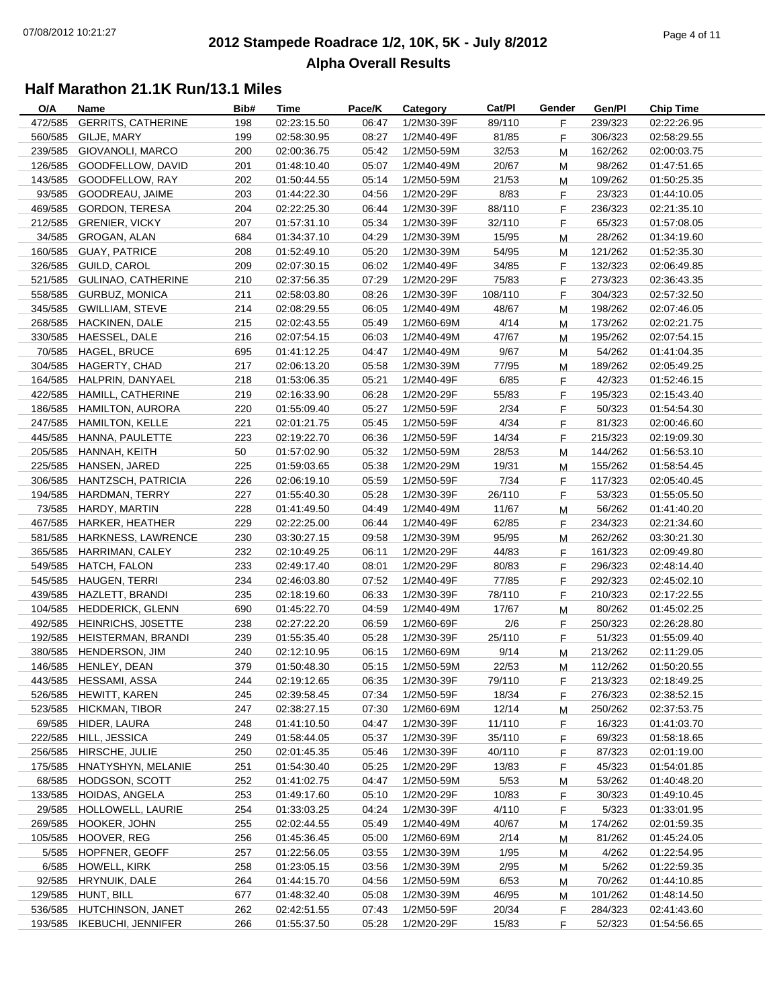#### **2012 Stampede Roadrace 1/2, 10K, 5K - July 8/2012**  $P_1$  and  $P_2$  of  $P_3$  of  $P_4$  or  $P_5$  of  $P_5$  or  $P_6$  or  $P_7$  or  $P_8$  or  $P_9$  or  $P_9$  or  $P_9$  or  $P_9$  or  $P_9$  or  $P_9$  or  $P_9$  or  $P_9$  or  $P_9$  or  $P_9$  or  $P_9$  or  $P_9$  or  $P_9$  or  $P_9$  or  $P_9$  or  $P_9$ **Alpha Overall Results**

| O/A     | Name                       | Bib#       | Time        | Pace/K         | Category   | Cat/PI         | Gender | Gen/Pl  | <b>Chip Time</b> |
|---------|----------------------------|------------|-------------|----------------|------------|----------------|--------|---------|------------------|
| 472/585 | <b>GERRITS, CATHERINE</b>  | 198        | 02:23:15.50 | 06:47          | 1/2M30-39F | 89/110         | F      | 239/323 | 02:22:26.95      |
| 560/585 | GILJE, MARY                | 199        | 02:58:30.95 | 08:27          | 1/2M40-49F | 81/85          | F      | 306/323 | 02:58:29.55      |
| 239/585 | GIOVANOLI, MARCO           | 200        | 02:00:36.75 | 05:42          | 1/2M50-59M | 32/53          | M      | 162/262 | 02:00:03.75      |
| 126/585 | GOODFELLOW, DAVID          | 201        | 01:48:10.40 | 05:07          | 1/2M40-49M | 20/67          | M      | 98/262  | 01:47:51.65      |
| 143/585 | GOODFELLOW, RAY            | 202        | 01:50:44.55 | 05:14          | 1/2M50-59M | 21/53          | M      | 109/262 | 01:50:25.35      |
| 93/585  | GOODREAU, JAIME            | 203        | 01:44:22.30 | 04:56          | 1/2M20-29F | 8/83           | F      | 23/323  | 01:44:10.05      |
| 469/585 | GORDON, TERESA             | 204        | 02:22:25.30 | 06:44          | 1/2M30-39F | 88/110         | F      | 236/323 | 02:21:35.10      |
| 212/585 | <b>GRENIER, VICKY</b>      | 207        | 01:57:31.10 | 05:34          | 1/2M30-39F | 32/110         | F      | 65/323  | 01:57:08.05      |
| 34/585  | GROGAN, ALAN               | 684        | 01:34:37.10 | 04:29          | 1/2M30-39M | 15/95          | M      | 28/262  | 01:34:19.60      |
| 160/585 | <b>GUAY, PATRICE</b>       | 208        | 01:52:49.10 | 05:20          | 1/2M30-39M | 54/95          | М      | 121/262 | 01:52:35.30      |
| 326/585 | <b>GUILD, CAROL</b>        | 209        | 02:07:30.15 | 06:02          | 1/2M40-49F | 34/85          | F      | 132/323 | 02:06:49.85      |
| 521/585 | GULINAO, CATHERINE         | 210        | 02:37:56.35 | 07:29          | 1/2M20-29F | 75/83          | F      | 273/323 | 02:36:43.35      |
|         | 558/585 GURBUZ, MONICA     | 211        | 02:58:03.80 | 08:26          | 1/2M30-39F | 108/110        | F      | 304/323 | 02:57:32.50      |
| 345/585 | <b>GWILLIAM, STEVE</b>     | 214        | 02:08:29.55 | 06:05          | 1/2M40-49M | 48/67          | M      | 198/262 | 02:07:46.05      |
| 268/585 | <b>HACKINEN, DALE</b>      | 215        | 02:02:43.55 | 05:49          | 1/2M60-69M | 4/14           | М      | 173/262 | 02:02:21.75      |
| 330/585 | HAESSEL, DALE              | 216        | 02:07:54.15 | 06:03          | 1/2M40-49M | 47/67          | М      | 195/262 | 02:07:54.15      |
| 70/585  | <b>HAGEL, BRUCE</b>        | 695        | 01:41:12.25 | 04:47          | 1/2M40-49M | 9/67           | М      | 54/262  | 01:41:04.35      |
| 304/585 | HAGERTY, CHAD              | 217        | 02:06:13.20 | 05:58          | 1/2M30-39M | 77/95          | М      | 189/262 | 02:05:49.25      |
| 164/585 | HALPRIN, DANYAEL           | 218        | 01:53:06.35 | 05:21          | 1/2M40-49F | 6/85           | F      | 42/323  |                  |
|         |                            |            |             |                |            |                |        |         | 01:52:46.15      |
| 422/585 | HAMILL, CATHERINE          | 219        | 02:16:33.90 | 06:28          | 1/2M20-29F | 55/83          | F      | 195/323 | 02:15:43.40      |
| 186/585 | <b>HAMILTON, AURORA</b>    | 220        | 01:55:09.40 | 05:27          | 1/2M50-59F | 2/34           | F      | 50/323  | 01:54:54.30      |
| 247/585 | <b>HAMILTON, KELLE</b>     | 221        | 02:01:21.75 | 05:45          | 1/2M50-59F | 4/34           | F      | 81/323  | 02:00:46.60      |
| 445/585 | HANNA, PAULETTE            | 223        | 02:19:22.70 | 06:36          | 1/2M50-59F | 14/34          | F      | 215/323 | 02:19:09.30      |
| 205/585 | HANNAH, KEITH              | 50         | 01:57:02.90 | 05:32          | 1/2M50-59M | 28/53          | M      | 144/262 | 01:56:53.10      |
| 225/585 | HANSEN, JARED              | 225        | 01:59:03.65 | 05:38          | 1/2M20-29M | 19/31          | М      | 155/262 | 01:58:54.45      |
| 306/585 | HANTZSCH, PATRICIA         | 226        | 02:06:19.10 | 05:59          | 1/2M50-59F | 7/34           | F      | 117/323 | 02:05:40.45      |
| 194/585 | HARDMAN, TERRY             | 227        | 01:55:40.30 | 05:28          | 1/2M30-39F | 26/110         | F      | 53/323  | 01:55:05.50      |
| 73/585  | HARDY, MARTIN              | 228        | 01:41:49.50 | 04:49          | 1/2M40-49M | 11/67          | M      | 56/262  | 01:41:40.20      |
| 467/585 | HARKER, HEATHER            | 229        | 02:22:25.00 | 06:44          | 1/2M40-49F | 62/85          | F      | 234/323 | 02:21:34.60      |
| 581/585 | HARKNESS, LAWRENCE         | 230        | 03:30:27.15 | 09:58          | 1/2M30-39M | 95/95          | M      | 262/262 | 03:30:21.30      |
| 365/585 | HARRIMAN, CALEY            | 232        | 02:10:49.25 | 06:11          | 1/2M20-29F | 44/83          | F      | 161/323 | 02:09:49.80      |
| 549/585 | HATCH, FALON               | 233        | 02:49:17.40 | 08:01          | 1/2M20-29F | 80/83          | F      | 296/323 | 02:48:14.40      |
| 545/585 | HAUGEN, TERRI              | 234        | 02:46:03.80 | 07:52          | 1/2M40-49F | 77/85          | F      | 292/323 | 02:45:02.10      |
| 439/585 | HAZLETT, BRANDI            | 235        | 02:18:19.60 | 06:33          | 1/2M30-39F | 78/110         | F      | 210/323 | 02:17:22.55      |
| 104/585 | <b>HEDDERICK, GLENN</b>    | 690        | 01:45:22.70 | 04:59          | 1/2M40-49M | 17/67          | М      | 80/262  | 01:45:02.25      |
| 492/585 | HEINRICHS, JOSETTE         | 238        | 02:27:22.20 | 06:59          | 1/2M60-69F | 2/6            | F      | 250/323 | 02:26:28.80      |
| 192/585 | HEISTERMAN, BRANDI         | 239        | 01:55:35.40 | 05:28          | 1/2M30-39F | 25/110         | F      | 51/323  | 01:55:09.40      |
| 380/585 | <b>HENDERSON, JIM</b>      | 240        | 02:12:10.95 | 06:15          | 1/2M60-69M | 9/14           | M      | 213/262 | 02:11:29.05      |
|         | 146/585 HENLEY, DEAN       | 379        | 01:50:48.30 | 05:15          | 1/2M50-59M | 22/53          | M      | 112/262 | 01:50:20.55      |
|         | 443/585 HESSAMI, ASSA      | 244        | 02:19:12.65 | 06:35          | 1/2M30-39F | 79/110         | F      | 213/323 | 02:18:49.25      |
|         | 526/585 HEWITT, KAREN      | 245        | 02:39:58.45 | 07:34          | 1/2M50-59F | 18/34          | F.     | 276/323 | 02:38:52.15      |
|         | 523/585 HICKMAN, TIBOR     | 247        | 02:38:27.15 | 07:30          | 1/2M60-69M | 12/14          | M      | 250/262 | 02:37:53.75      |
|         | 69/585 HIDER, LAURA        | 248        | 01:41:10.50 | 04:47          | 1/2M30-39F | 11/110         | F.     | 16/323  | 01:41:03.70      |
| 222/585 | HILL, JESSICA              | 249        | 01:58:44.05 | 05:37          | 1/2M30-39F | 35/110         | F      | 69/323  | 01:58:18.65      |
|         | 256/585 HIRSCHE, JULIE     | 250        | 02:01:45.35 | 05:46          | 1/2M30-39F | 40/110         | F.     | 87/323  | 02:01:19.00      |
| 175/585 | HNATYSHYN, MELANIE         | 251        | 01:54:30.40 | 05:25          | 1/2M20-29F | 13/83          | F.     | 45/323  | 01:54:01.85      |
| 68/585  | <b>HODGSON, SCOTT</b>      | 252        | 01:41:02.75 | 04:47          | 1/2M50-59M | 5/53           | M      | 53/262  | 01:40:48.20      |
|         | 133/585 HOIDAS, ANGELA     | 253        | 01:49:17.60 | 05:10          | 1/2M20-29F | 10/83          | F.     | 30/323  | 01:49:10.45      |
|         | 29/585 HOLLOWELL, LAURIE   | 254        | 01:33:03.25 | 04:24          | 1/2M30-39F | 4/110          | F.     | 5/323   | 01:33:01.95      |
|         | 269/585 HOOKER, JOHN       | 255        | 02:02:44.55 | 05:49          | 1/2M40-49M | 40/67          | M      | 174/262 | 02:01:59.35      |
| 105/585 | HOOVER, REG                | 256        | 01:45:36.45 | 05:00          | 1/2M60-69M | 2/14           | M      | 81/262  | 01:45:24.05      |
| 5/585   | HOPFNER, GEOFF             | 257        | 01:22:56.05 | 03:55          | 1/2M30-39M | 1/95           | M      | 4/262   | 01:22:54.95      |
| 6/585   | HOWELL, KIRK               | 258        | 01:23:05.15 | 03:56          | 1/2M30-39M | 2/95           |        | 5/262   | 01:22:59.35      |
| 92/585  | HRYNUIK, DALE              | 264        | 01:44:15.70 | 04:56          | 1/2M50-59M | 6/53           | M      | 70/262  | 01:44:10.85      |
|         | 129/585 HUNT, BILL         |            |             |                |            |                | M      |         |                  |
|         | 536/585 HUTCHINSON, JANET  | 677<br>262 | 01:48:32.40 | 05:08<br>07:43 | 1/2M30-39M | 46/95<br>20/34 | M      | 101/262 | 01:48:14.50      |
|         |                            |            | 02:42:51.55 |                | 1/2M50-59F |                | F      | 284/323 | 02:41:43.60      |
|         | 193/585 IKEBUCHI, JENNIFER | 266        | 01:55:37.50 | 05:28          | 1/2M20-29F | 15/83          | F.     | 52/323  | 01:54:56.65      |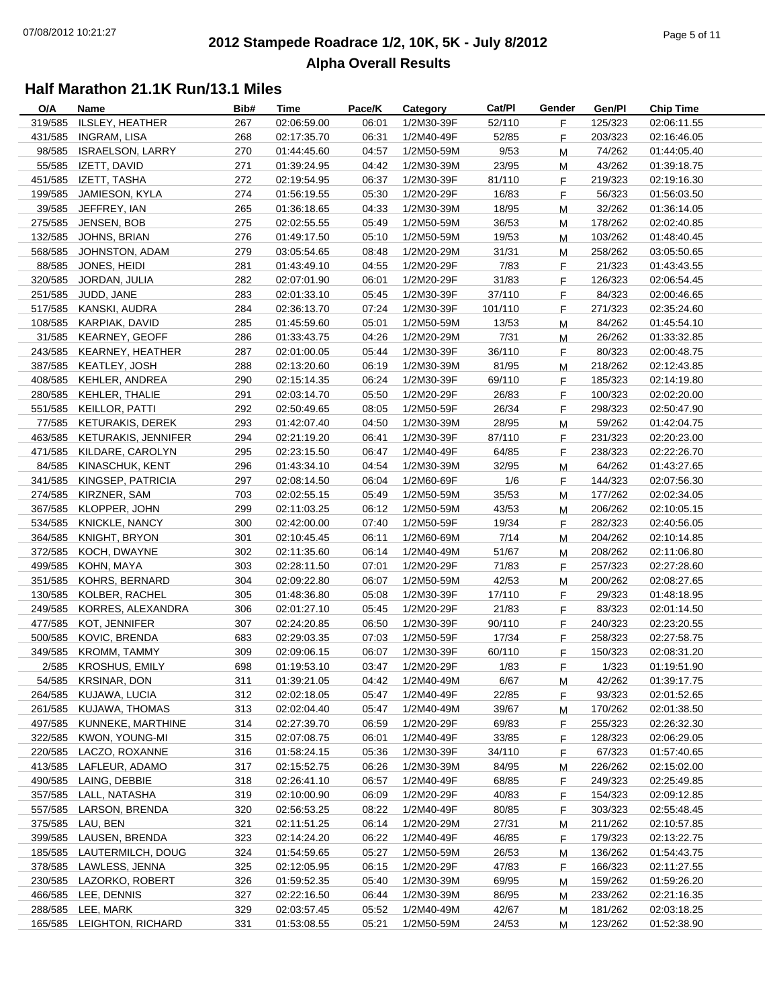#### **2012 Stampede Roadrace 1/2, 10K, 5K - July 8/2012**  $P_1$  of  $P_2$  of  $P_3$  of  $P_4$  of  $P_5$  of  $P_5$  of  $P_6$  of  $P_7$  of  $P_8$  of  $P_7$  of  $P_8$  of  $P_9$  of  $P_9$  of  $P_9$  of  $P_9$  of  $P_9$  of  $P_9$  of  $P_9$  of  $P_9$  of  $P_9$  of  $P_9$  of  $P_9$  of  $P_9$  of  $P_9$  of  $P_9$ **Alpha Overall Results**

| O/A     | Name                      | Bib# | Time        | Pace/K | Category   | Cat/PI  | Gender  | Gen/Pl  | <b>Chip Time</b> |
|---------|---------------------------|------|-------------|--------|------------|---------|---------|---------|------------------|
| 319/585 | ILSLEY, HEATHER           | 267  | 02:06:59.00 | 06:01  | 1/2M30-39F | 52/110  | F       | 125/323 | 02:06:11.55      |
| 431/585 | <b>INGRAM, LISA</b>       | 268  | 02:17:35.70 | 06:31  | 1/2M40-49F | 52/85   | F       | 203/323 | 02:16:46.05      |
| 98/585  | <b>ISRAELSON, LARRY</b>   | 270  | 01:44:45.60 | 04:57  | 1/2M50-59M | 9/53    | M       | 74/262  | 01:44:05.40      |
| 55/585  | IZETT, DAVID              | 271  | 01:39:24.95 | 04:42  | 1/2M30-39M | 23/95   | M       | 43/262  | 01:39:18.75      |
| 451/585 | IZETT, TASHA              | 272  | 02:19:54.95 | 06:37  | 1/2M30-39F | 81/110  | F       | 219/323 | 02:19:16.30      |
| 199/585 | JAMIESON, KYLA            | 274  | 01:56:19.55 | 05:30  | 1/2M20-29F | 16/83   | F       | 56/323  | 01:56:03.50      |
| 39/585  | JEFFREY, IAN              | 265  | 01:36:18.65 | 04:33  | 1/2M30-39M | 18/95   | M       | 32/262  | 01:36:14.05      |
| 275/585 | JENSEN, BOB               | 275  | 02:02:55.55 | 05:49  | 1/2M50-59M | 36/53   | M       | 178/262 | 02:02:40.85      |
| 132/585 | JOHNS, BRIAN              | 276  | 01:49:17.50 | 05:10  | 1/2M50-59M | 19/53   | М       | 103/262 | 01:48:40.45      |
| 568/585 | JOHNSTON, ADAM            | 279  | 03:05:54.65 | 08:48  | 1/2M20-29M | 31/31   | М       | 258/262 | 03:05:50.65      |
| 88/585  | JONES, HEIDI              | 281  | 01:43:49.10 | 04:55  | 1/2M20-29F | 7/83    | F       | 21/323  | 01:43:43.55      |
| 320/585 | JORDAN, JULIA             | 282  | 02:07:01.90 | 06:01  | 1/2M20-29F | 31/83   | F       | 126/323 | 02:06:54.45      |
| 251/585 | JUDD, JANE                | 283  | 02:01:33.10 | 05:45  | 1/2M30-39F | 37/110  | F       | 84/323  | 02:00:46.65      |
| 517/585 | KANSKI, AUDRA             | 284  | 02:36:13.70 | 07:24  | 1/2M30-39F | 101/110 | F       | 271/323 | 02:35:24.60      |
|         | 108/585 KARPIAK, DAVID    | 285  | 01:45:59.60 | 05:01  | 1/2M50-59M | 13/53   | M       | 84/262  | 01:45:54.10      |
| 31/585  | KEARNEY, GEOFF            | 286  | 01:33:43.75 | 04:26  | 1/2M20-29M | 7/31    | М       | 26/262  | 01:33:32.85      |
| 243/585 | KEARNEY, HEATHER          | 287  | 02:01:00.05 | 05:44  | 1/2M30-39F | 36/110  | F       | 80/323  | 02:00:48.75      |
| 387/585 | KEATLEY, JOSH             | 288  | 02:13:20.60 | 06:19  | 1/2M30-39M | 81/95   | М       | 218/262 | 02:12:43.85      |
| 408/585 | KEHLER, ANDREA            | 290  | 02:15:14.35 | 06:24  | 1/2M30-39F | 69/110  | F       | 185/323 | 02:14:19.80      |
| 280/585 | KEHLER, THALIE            | 291  | 02:03:14.70 | 05:50  | 1/2M20-29F | 26/83   | F       | 100/323 | 02:02:20.00      |
| 551/585 | KEILLOR, PATTI            | 292  | 02:50:49.65 | 08:05  | 1/2M50-59F | 26/34   | F       | 298/323 | 02:50:47.90      |
| 77/585  | <b>KETURAKIS, DEREK</b>   | 293  | 01:42:07.40 | 04:50  | 1/2M30-39M | 28/95   | M       | 59/262  | 01:42:04.75      |
| 463/585 | KETURAKIS, JENNIFER       | 294  | 02:21:19.20 | 06:41  | 1/2M30-39F | 87/110  |         | 231/323 | 02:20:23.00      |
| 471/585 | KILDARE, CAROLYN          | 295  | 02:23:15.50 | 06:47  | 1/2M40-49F | 64/85   | F.<br>F | 238/323 | 02:22:26.70      |
|         |                           |      |             |        | 1/2M30-39M |         |         |         |                  |
| 84/585  | KINASCHUK, KENT           | 296  | 01:43:34.10 | 04:54  |            | 32/95   | M       | 64/262  | 01:43:27.65      |
| 341/585 | KINGSEP, PATRICIA         | 297  | 02:08:14.50 | 06:04  | 1/2M60-69F | 1/6     | F       | 144/323 | 02:07:56.30      |
| 274/585 | KIRZNER, SAM              | 703  | 02:02:55.15 | 05:49  | 1/2M50-59M | 35/53   | M       | 177/262 | 02:02:34.05      |
| 367/585 | KLOPPER, JOHN             | 299  | 02:11:03.25 | 06:12  | 1/2M50-59M | 43/53   | M       | 206/262 | 02:10:05.15      |
| 534/585 | <b>KNICKLE, NANCY</b>     | 300  | 02:42:00.00 | 07:40  | 1/2M50-59F | 19/34   | F       | 282/323 | 02:40:56.05      |
| 364/585 | KNIGHT, BRYON             | 301  | 02:10:45.45 | 06:11  | 1/2M60-69M | 7/14    | M       | 204/262 | 02:10:14.85      |
| 372/585 | KOCH, DWAYNE              | 302  | 02:11:35.60 | 06:14  | 1/2M40-49M | 51/67   | М       | 208/262 | 02:11:06.80      |
| 499/585 | KOHN, MAYA                | 303  | 02:28:11.50 | 07:01  | 1/2M20-29F | 71/83   | F       | 257/323 | 02:27:28.60      |
| 351/585 | KOHRS, BERNARD            | 304  | 02:09:22.80 | 06:07  | 1/2M50-59M | 42/53   | М       | 200/262 | 02:08:27.65      |
| 130/585 | KOLBER, RACHEL            | 305  | 01:48:36.80 | 05:08  | 1/2M30-39F | 17/110  | F       | 29/323  | 01:48:18.95      |
| 249/585 | KORRES, ALEXANDRA         | 306  | 02:01:27.10 | 05:45  | 1/2M20-29F | 21/83   | F       | 83/323  | 02:01:14.50      |
| 477/585 | KOT, JENNIFER             | 307  | 02:24:20.85 | 06:50  | 1/2M30-39F | 90/110  | F       | 240/323 | 02:23:20.55      |
| 500/585 | KOVIC, BRENDA             | 683  | 02:29:03.35 | 07:03  | 1/2M50-59F | 17/34   | F       | 258/323 | 02:27:58.75      |
| 349/585 | KROMM, TAMMY              | 309  | 02:09:06.15 | 06:07  | 1/2M30-39F | 60/110  | F       | 150/323 | 02:08:31.20      |
|         | 2/585 KROSHUS, EMILY      | 698  | 01:19:53.10 | 03:47  | 1/2M20-29F | 1/83    | F.      | 1/323   | 01:19:51.90      |
|         | 54/585 KRSINAR, DON       | 311  | 01:39:21.05 | 04:42  | 1/2M40-49M | 6/67    | M       | 42/262  | 01:39:17.75      |
| 264/585 | KUJAWA, LUCIA             | 312  | 02:02:18.05 | 05:47  | 1/2M40-49F | 22/85   | F.      | 93/323  | 02:01:52.65      |
| 261/585 | KUJAWA, THOMAS            | 313  | 02:02:04.40 | 05:47  | 1/2M40-49M | 39/67   | M       | 170/262 | 02:01:38.50      |
| 497/585 | KUNNEKE, MARTHINE         | 314  | 02:27:39.70 | 06:59  | 1/2M20-29F | 69/83   | F.      | 255/323 | 02:26:32.30      |
| 322/585 | KWON, YOUNG-MI            | 315  | 02:07:08.75 | 06:01  | 1/2M40-49F | 33/85   | F       | 128/323 | 02:06:29.05      |
| 220/585 | LACZO, ROXANNE            | 316  | 01:58:24.15 | 05:36  | 1/2M30-39F | 34/110  | F.      | 67/323  | 01:57:40.65      |
| 413/585 | LAFLEUR, ADAMO            | 317  | 02:15:52.75 | 06:26  | 1/2M30-39M | 84/95   | M       | 226/262 | 02:15:02.00      |
| 490/585 | LAING, DEBBIE             | 318  | 02:26:41.10 | 06:57  | 1/2M40-49F | 68/85   | F.      | 249/323 | 02:25:49.85      |
|         | 357/585 LALL, NATASHA     | 319  | 02:10:00.90 | 06:09  | 1/2M20-29F | 40/83   | F       | 154/323 | 02:09:12.85      |
| 557/585 | LARSON, BRENDA            | 320  | 02:56:53.25 | 08:22  | 1/2M40-49F | 80/85   | F       | 303/323 | 02:55:48.45      |
| 375/585 | LAU, BEN                  | 321  | 02:11:51.25 | 06:14  | 1/2M20-29M | 27/31   | M       | 211/262 | 02:10:57.85      |
| 399/585 | LAUSEN, BRENDA            | 323  | 02:14:24.20 | 06:22  | 1/2M40-49F | 46/85   | F       | 179/323 | 02:13:22.75      |
| 185/585 | LAUTERMILCH, DOUG         | 324  | 01:54:59.65 | 05:27  | 1/2M50-59M | 26/53   | M       | 136/262 | 01:54:43.75      |
| 378/585 | LAWLESS, JENNA            | 325  | 02:12:05.95 | 06:15  | 1/2M20-29F | 47/83   | F       | 166/323 | 02:11:27.55      |
| 230/585 | LAZORKO, ROBERT           | 326  | 01:59:52.35 | 05:40  | 1/2M30-39M | 69/95   | M       | 159/262 | 01:59:26.20      |
|         | 466/585 LEE, DENNIS       | 327  | 02:22:16.50 | 06:44  | 1/2M30-39M | 86/95   | M       | 233/262 | 02:21:16.35      |
|         | 288/585 LEE, MARK         | 329  | 02:03:57.45 | 05:52  | 1/2M40-49M | 42/67   | м       | 181/262 | 02:03:18.25      |
|         | 165/585 LEIGHTON, RICHARD | 331  | 01:53:08.55 | 05:21  | 1/2M50-59M | 24/53   | м       | 123/262 | 01:52:38.90      |
|         |                           |      |             |        |            |         |         |         |                  |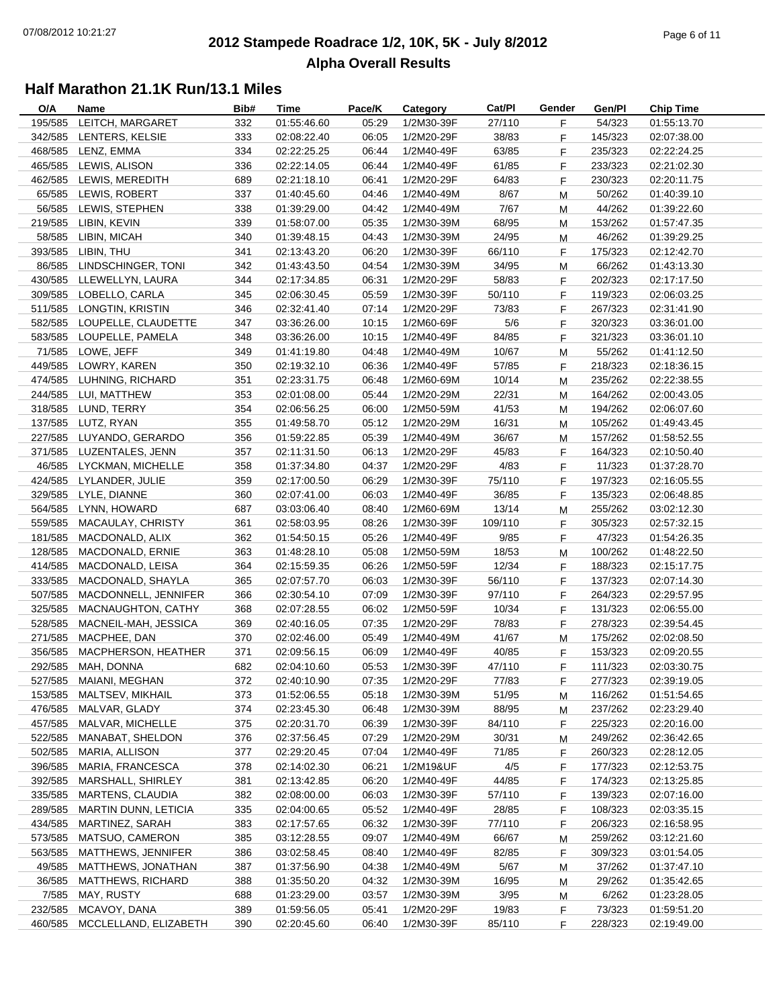#### **2012 Stampede Roadrace 1/2, 10K, 5K - July 8/2012**  $P_1$  and  $P_2$  of  $P_3$  of  $P_4$  of  $P_5$  of  $P_6$  of  $P_7$  of  $P_8$  of  $P_7$  of  $P_8$  of  $P_9$  of  $P_9$  of  $P_9$  of  $P_9$  of  $P_9$  of  $P_9$  of  $P_9$  of  $P_9$  of  $P_9$  of  $P_9$  of  $P_9$  of  $P_9$  of  $P_9$  of  $P_9$  of  $P_9$ **Alpha Overall Results**

| O/A     | Name                        | Bib# | Time                       | Pace/K | Category   | Cat/PI  | Gender | Gen/Pl  | <b>Chip Time</b> |
|---------|-----------------------------|------|----------------------------|--------|------------|---------|--------|---------|------------------|
| 195/585 | LEITCH, MARGARET            | 332  | 01:55:46.60                | 05:29  | 1/2M30-39F | 27/110  | F.     | 54/323  | 01:55:13.70      |
| 342/585 | LENTERS, KELSIE             | 333  | 02:08:22.40                | 06:05  | 1/2M20-29F | 38/83   | F.     | 145/323 | 02:07:38.00      |
| 468/585 | LENZ, EMMA                  | 334  | 02:22:25.25                | 06:44  | 1/2M40-49F | 63/85   | F      | 235/323 | 02:22:24.25      |
|         | 465/585 LEWIS, ALISON       | 336  | 02:22:14.05                | 06:44  | 1/2M40-49F | 61/85   | F.     | 233/323 | 02:21:02.30      |
| 462/585 | LEWIS, MEREDITH             | 689  | 02:21:18.10                | 06:41  | 1/2M20-29F | 64/83   | F.     | 230/323 | 02:20:11.75      |
|         | 65/585 LEWIS, ROBERT        | 337  | 01:40:45.60                | 04:46  | 1/2M40-49M | 8/67    | M      | 50/262  | 01:40:39.10      |
| 56/585  | LEWIS, STEPHEN              | 338  | 01:39:29.00                | 04:42  | 1/2M40-49M | 7/67    | М      | 44/262  | 01:39:22.60      |
| 219/585 | LIBIN, KEVIN                | 339  | 01:58:07.00                | 05:35  | 1/2M30-39M | 68/95   | M      | 153/262 | 01:57:47.35      |
| 58/585  | LIBIN, MICAH                | 340  | 01:39:48.15                | 04:43  | 1/2M30-39M | 24/95   | M      | 46/262  | 01:39:29.25      |
| 393/585 | LIBIN, THU                  | 341  | 02:13:43.20                | 06:20  | 1/2M30-39F | 66/110  | F.     | 175/323 | 02:12:42.70      |
| 86/585  | LINDSCHINGER, TONI          | 342  | 01:43:43.50                | 04:54  | 1/2M30-39M | 34/95   | M      | 66/262  | 01:43:13.30      |
| 430/585 | LLEWELLYN, LAURA            | 344  | 02:17:34.85                | 06:31  | 1/2M20-29F | 58/83   | F      | 202/323 | 02:17:17.50      |
|         | 309/585 LOBELLO, CARLA      | 345  | 02:06:30.45                | 05:59  | 1/2M30-39F | 50/110  | F.     | 119/323 | 02:06:03.25      |
|         | 511/585 LONGTIN, KRISTIN    | 346  | 02:32:41.40                | 07:14  | 1/2M20-29F | 73/83   | F.     | 267/323 | 02:31:41.90      |
|         | 582/585 LOUPELLE, CLAUDETTE | 347  | 03:36:26.00                | 10:15  | 1/2M60-69F | 5/6     | F      | 320/323 | 03:36:01.00      |
|         | 583/585 LOUPELLE, PAMELA    | 348  | 03:36:26.00                | 10:15  | 1/2M40-49F | 84/85   | F.     | 321/323 | 03:36:01.10      |
|         | 71/585 LOWE, JEFF           | 349  | 01:41:19.80                | 04:48  | 1/2M40-49M | 10/67   | M      | 55/262  | 01:41:12.50      |
| 449/585 | LOWRY, KAREN                | 350  | 02:19:32.10                | 06:36  | 1/2M40-49F | 57/85   | F      | 218/323 | 02:18:36.15      |
| 474/585 | LUHNING, RICHARD            | 351  | 02:23:31.75                | 06:48  | 1/2M60-69M | 10/14   | M      | 235/262 | 02:22:38.55      |
|         | 244/585 LUI, MATTHEW        | 353  | 02:01:08.00                | 05:44  | 1/2M20-29M | 22/31   | M      | 164/262 | 02:00:43.05      |
|         | 318/585 LUND, TERRY         | 354  | 02:06:56.25                | 06:00  | 1/2M50-59M | 41/53   |        | 194/262 | 02:06:07.60      |
|         |                             |      |                            |        |            |         | M      |         |                  |
|         | 137/585 LUTZ, RYAN          | 355  | 01:49:58.70<br>01:59:22.85 | 05:12  | 1/2M20-29M | 16/31   | M      | 105/262 | 01:49:43.45      |
|         | 227/585 LUYANDO, GERARDO    | 356  |                            | 05:39  | 1/2M40-49M | 36/67   | м      | 157/262 | 01:58:52.55      |
| 371/585 | LUZENTALES, JENN            | 357  | 02:11:31.50                | 06:13  | 1/2M20-29F | 45/83   | F      | 164/323 | 02:10:50.40      |
| 46/585  | LYCKMAN, MICHELLE           | 358  | 01:37:34.80                | 04:37  | 1/2M20-29F | 4/83    | F.     | 11/323  | 01:37:28.70      |
| 424/585 | LYLANDER, JULIE             | 359  | 02:17:00.50                | 06:29  | 1/2M30-39F | 75/110  | F.     | 197/323 | 02:16:05.55      |
| 329/585 | LYLE, DIANNE                | 360  | 02:07:41.00                | 06:03  | 1/2M40-49F | 36/85   | F.     | 135/323 | 02:06:48.85      |
| 564/585 | LYNN, HOWARD                | 687  | 03:03:06.40                | 08:40  | 1/2M60-69M | 13/14   | M      | 255/262 | 03:02:12.30      |
| 559/585 | MACAULAY, CHRISTY           | 361  | 02:58:03.95                | 08:26  | 1/2M30-39F | 109/110 | F.     | 305/323 | 02:57:32.15      |
| 181/585 | MACDONALD, ALIX             | 362  | 01:54:50.15                | 05:26  | 1/2M40-49F | 9/85    | F.     | 47/323  | 01:54:26.35      |
| 128/585 | MACDONALD, ERNIE            | 363  | 01:48:28.10                | 05:08  | 1/2M50-59M | 18/53   | м      | 100/262 | 01:48:22.50      |
| 414/585 | MACDONALD, LEISA            | 364  | 02:15:59.35                | 06:26  | 1/2M50-59F | 12/34   | F.     | 188/323 | 02:15:17.75      |
| 333/585 | MACDONALD, SHAYLA           | 365  | 02:07:57.70                | 06:03  | 1/2M30-39F | 56/110  | F      | 137/323 | 02:07:14.30      |
| 507/585 | MACDONNELL, JENNIFER        | 366  | 02:30:54.10                | 07:09  | 1/2M30-39F | 97/110  | F.     | 264/323 | 02:29:57.95      |
| 325/585 | MACNAUGHTON, CATHY          | 368  | 02:07:28.55                | 06:02  | 1/2M50-59F | 10/34   | F.     | 131/323 | 02:06:55.00      |
| 528/585 | MACNEIL-MAH, JESSICA        | 369  | 02:40:16.05                | 07:35  | 1/2M20-29F | 78/83   | F      | 278/323 | 02:39:54.45      |
| 271/585 | MACPHEE, DAN                | 370  | 02:02:46.00                | 05:49  | 1/2M40-49M | 41/67   | М      | 175/262 | 02:02:08.50      |
| 356/585 | <b>MACPHERSON, HEATHER</b>  | 371  | 02:09:56.15                | 06:09  | 1/2M40-49F | 40/85   | F.     | 153/323 | 02:09:20.55      |
|         | 292/585 MAH, DONNA          | 682  | 02:04:10.60                | 05:53  | 1/2M30-39F | 47/110  | F      | 111/323 | 02:03:30.75      |
| 527/585 | MAIANI, MEGHAN              | 372  | 02:40:10.90                | 07:35  | 1/2M20-29F | 77/83   | F.     | 277/323 | 02:39:19.05      |
| 153/585 | MALTSEV, MIKHAIL            | 373  | 01:52:06.55                | 05:18  | 1/2M30-39M | 51/95   | M      | 116/262 | 01:51:54.65      |
| 476/585 | MALVAR, GLADY               | 374  | 02:23:45.30                | 06:48  | 1/2M30-39M | 88/95   | M      | 237/262 | 02:23:29.40      |
| 457/585 | MALVAR, MICHELLE            | 375  | 02:20:31.70                | 06:39  | 1/2M30-39F | 84/110  | F      | 225/323 | 02:20:16.00      |
| 522/585 | MANABAT, SHELDON            | 376  | 02:37:56.45                | 07:29  | 1/2M20-29M | 30/31   | M      | 249/262 | 02:36:42.65      |
| 502/585 | MARIA, ALLISON              | 377  | 02:29:20.45                | 07:04  | 1/2M40-49F | 71/85   | F      | 260/323 | 02:28:12.05      |
| 396/585 | MARIA, FRANCESCA            | 378  | 02:14:02.30                | 06:21  | 1/2M19&UF  | 4/5     | F.     | 177/323 | 02:12:53.75      |
| 392/585 | MARSHALL, SHIRLEY           | 381  | 02:13:42.85                | 06:20  | 1/2M40-49F | 44/85   | F.     | 174/323 | 02:13:25.85      |
| 335/585 | MARTENS, CLAUDIA            | 382  | 02:08:00.00                | 06:03  | 1/2M30-39F | 57/110  | F.     | 139/323 | 02:07:16.00      |
| 289/585 | MARTIN DUNN, LETICIA        | 335  | 02:04:00.65                | 05:52  | 1/2M40-49F | 28/85   | F.     | 108/323 | 02:03:35.15      |
| 434/585 | MARTINEZ, SARAH             | 383  | 02:17:57.65                | 06:32  | 1/2M30-39F | 77/110  | F      | 206/323 | 02:16:58.95      |
| 573/585 | MATSUO, CAMERON             | 385  | 03:12:28.55                | 09:07  | 1/2M40-49M | 66/67   | M      | 259/262 | 03:12:21.60      |
| 563/585 | MATTHEWS, JENNIFER          | 386  | 03:02:58.45                | 08:40  | 1/2M40-49F | 82/85   | F.     | 309/323 | 03:01:54.05      |
| 49/585  | MATTHEWS, JONATHAN          | 387  | 01:37:56.90                | 04:38  | 1/2M40-49M | 5/67    | M      | 37/262  | 01:37:47.10      |
| 36/585  | MATTHEWS, RICHARD           | 388  | 01:35:50.20                | 04:32  | 1/2M30-39M | 16/95   | M      | 29/262  | 01:35:42.65      |
| 7/585   | MAY, RUSTY                  | 688  | 01:23:29.00                | 03:57  | 1/2M30-39M | 3/95    |        | 6/262   | 01:23:28.05      |
| 232/585 | MCAVOY, DANA                | 389  | 01:59:56.05                |        | 1/2M20-29F |         | м      | 73/323  |                  |
|         |                             |      |                            | 05:41  |            | 19/83   | F.     |         | 01:59:51.20      |
| 460/585 | MCCLELLAND, ELIZABETH       | 390  | 02:20:45.60                | 06:40  | 1/2M30-39F | 85/110  | F.     | 228/323 | 02:19:49.00      |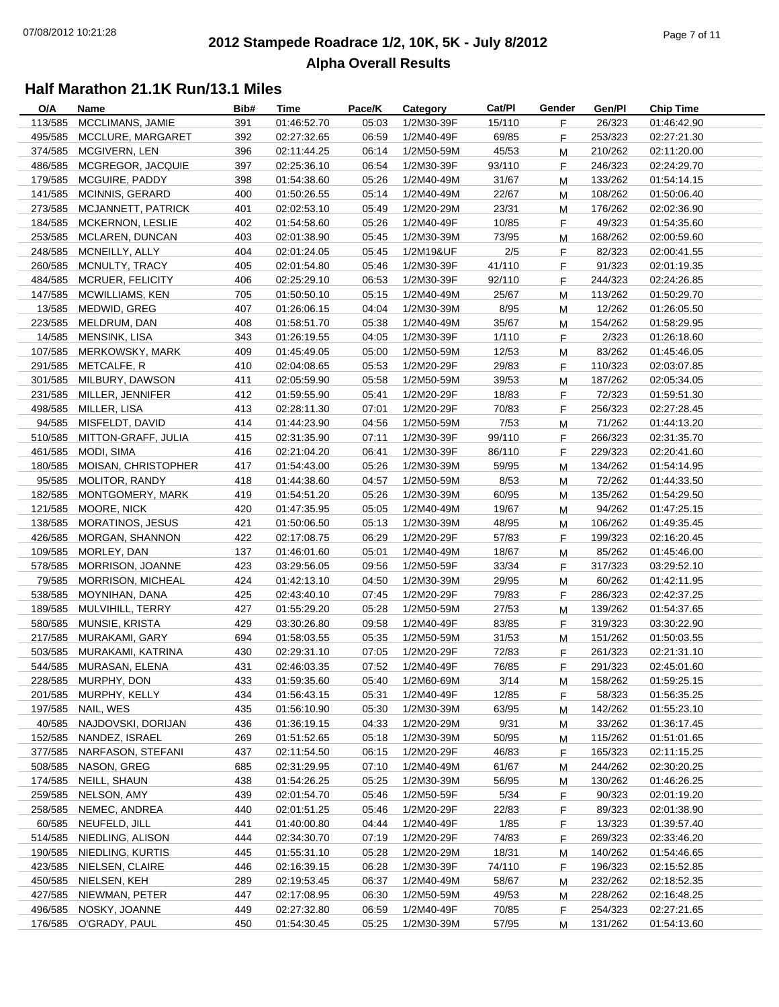#### **2012 Stampede Roadrace 1/2, 10K, 5K - July 8/2012** Page 7 of 11 **Alpha Overall Results**

| O/A     | Name                    | Bib# | Time        | Pace/K | Category   | Cat/PI | Gender | Gen/Pl  | <b>Chip Time</b> |
|---------|-------------------------|------|-------------|--------|------------|--------|--------|---------|------------------|
| 113/585 | MCCLIMANS, JAMIE        | 391  | 01:46:52.70 | 05:03  | 1/2M30-39F | 15/110 | F      | 26/323  | 01:46:42.90      |
| 495/585 | MCCLURE, MARGARET       | 392  | 02:27:32.65 | 06:59  | 1/2M40-49F | 69/85  | F      | 253/323 | 02:27:21.30      |
| 374/585 | MCGIVERN, LEN           | 396  | 02:11:44.25 | 06:14  | 1/2M50-59M | 45/53  | M      | 210/262 | 02:11:20.00      |
| 486/585 | MCGREGOR, JACQUIE       | 397  | 02:25:36.10 | 06:54  | 1/2M30-39F | 93/110 | F      | 246/323 | 02:24:29.70      |
| 179/585 | MCGUIRE, PADDY          | 398  | 01:54:38.60 | 05:26  | 1/2M40-49M | 31/67  | M      | 133/262 | 01:54:14.15      |
| 141/585 | <b>MCINNIS, GERARD</b>  | 400  | 01:50:26.55 | 05:14  | 1/2M40-49M | 22/67  | М      | 108/262 | 01:50:06.40      |
| 273/585 | MCJANNETT, PATRICK      | 401  | 02:02:53.10 | 05:49  | 1/2M20-29M | 23/31  | M      | 176/262 | 02:02:36.90      |
| 184/585 | <b>MCKERNON, LESLIE</b> | 402  | 01:54:58.60 | 05:26  | 1/2M40-49F | 10/85  | F      | 49/323  | 01:54:35.60      |
| 253/585 | MCLAREN, DUNCAN         | 403  | 02:01:38.90 | 05:45  | 1/2M30-39M | 73/95  | М      | 168/262 | 02:00:59.60      |
| 248/585 | MCNEILLY, ALLY          | 404  | 02:01:24.05 | 05:45  | 1/2M19&UF  | 2/5    | F      | 82/323  | 02:00:41.55      |
| 260/585 | MCNULTY, TRACY          | 405  | 02:01:54.80 | 05:46  | 1/2M30-39F | 41/110 | F      | 91/323  | 02:01:19.35      |
| 484/585 | MCRUER, FELICITY        | 406  | 02:25:29.10 | 06:53  | 1/2M30-39F | 92/110 | F      | 244/323 | 02:24:26.85      |
| 147/585 | MCWILLIAMS, KEN         | 705  | 01:50:50.10 | 05:15  | 1/2M40-49M | 25/67  | M      | 113/262 | 01:50:29.70      |
| 13/585  | MEDWID, GREG            | 407  | 01:26:06.15 | 04:04  | 1/2M30-39M | 8/95   | M      | 12/262  | 01:26:05.50      |
| 223/585 | MELDRUM, DAN            | 408  | 01:58:51.70 | 05:38  | 1/2M40-49M | 35/67  | M      | 154/262 | 01:58:29.95      |
| 14/585  | MENSINK, LISA           | 343  | 01:26:19.55 | 04:05  | 1/2M30-39F | 1/110  | F      | 2/323   | 01:26:18.60      |
| 107/585 | MERKOWSKY, MARK         | 409  | 01:45:49.05 | 05:00  | 1/2M50-59M | 12/53  | М      | 83/262  | 01:45:46.05      |
| 291/585 | METCALFE, R             | 410  | 02:04:08.65 | 05:53  | 1/2M20-29F | 29/83  | F      | 110/323 | 02:03:07.85      |
| 301/585 | MILBURY, DAWSON         | 411  | 02:05:59.90 | 05:58  | 1/2M50-59M | 39/53  | M      | 187/262 | 02:05:34.05      |
| 231/585 | MILLER, JENNIFER        | 412  | 01:59:55.90 | 05:41  | 1/2M20-29F | 18/83  | F      | 72/323  | 01:59:51.30      |
| 498/585 | MILLER, LISA            | 413  | 02:28:11.30 | 07:01  | 1/2M20-29F | 70/83  | F      | 256/323 | 02:27:28.45      |
| 94/585  | MISFELDT, DAVID         | 414  | 01:44:23.90 | 04:56  | 1/2M50-59M | 7/53   |        | 71/262  |                  |
|         |                         |      |             |        |            |        | M      |         | 01:44:13.20      |
| 510/585 | MITTON-GRAFF, JULIA     | 415  | 02:31:35.90 | 07:11  | 1/2M30-39F | 99/110 | F      | 266/323 | 02:31:35.70      |
| 461/585 | MODI, SIMA              | 416  | 02:21:04.20 | 06:41  | 1/2M30-39F | 86/110 | F      | 229/323 | 02:20:41.60      |
| 180/585 | MOISAN, CHRISTOPHER     | 417  | 01:54:43.00 | 05:26  | 1/2M30-39M | 59/95  | M      | 134/262 | 01:54:14.95      |
| 95/585  | MOLITOR, RANDY          | 418  | 01:44:38.60 | 04:57  | 1/2M50-59M | 8/53   | М      | 72/262  | 01:44:33.50      |
| 182/585 | MONTGOMERY, MARK        | 419  | 01:54:51.20 | 05:26  | 1/2M30-39M | 60/95  | M      | 135/262 | 01:54:29.50      |
| 121/585 | MOORE, NICK             | 420  | 01:47:35.95 | 05:05  | 1/2M40-49M | 19/67  | M      | 94/262  | 01:47:25.15      |
| 138/585 | <b>MORATINOS, JESUS</b> | 421  | 01:50:06.50 | 05:13  | 1/2M30-39M | 48/95  | M      | 106/262 | 01:49:35.45      |
| 426/585 | <b>MORGAN, SHANNON</b>  | 422  | 02:17:08.75 | 06:29  | 1/2M20-29F | 57/83  | F.     | 199/323 | 02:16:20.45      |
| 109/585 | MORLEY, DAN             | 137  | 01:46:01.60 | 05:01  | 1/2M40-49M | 18/67  | M      | 85/262  | 01:45:46.00      |
| 578/585 | MORRISON, JOANNE        | 423  | 03:29:56.05 | 09:56  | 1/2M50-59F | 33/34  | F      | 317/323 | 03:29:52.10      |
| 79/585  | MORRISON, MICHEAL       | 424  | 01:42:13.10 | 04:50  | 1/2M30-39M | 29/95  | М      | 60/262  | 01:42:11.95      |
| 538/585 | MOYNIHAN, DANA          | 425  | 02:43:40.10 | 07:45  | 1/2M20-29F | 79/83  | F      | 286/323 | 02:42:37.25      |
| 189/585 | MULVIHILL, TERRY        | 427  | 01:55:29.20 | 05:28  | 1/2M50-59M | 27/53  | M      | 139/262 | 01:54:37.65      |
| 580/585 | MUNSIE, KRISTA          | 429  | 03:30:26.80 | 09:58  | 1/2M40-49F | 83/85  | F      | 319/323 | 03:30:22.90      |
| 217/585 | MURAKAMI, GARY          | 694  | 01:58:03.55 | 05:35  | 1/2M50-59M | 31/53  | M      | 151/262 | 01:50:03.55      |
| 503/585 | MURAKAMI, KATRINA       | 430  | 02:29:31.10 | 07:05  | 1/2M20-29F | 72/83  | F.     | 261/323 | 02:21:31.10      |
|         | 544/585 MURASAN, ELENA  | 431  | 02:46:03.35 | 07:52  | 1/2M40-49F | 76/85  | F      | 291/323 | 02:45:01.60      |
|         | 228/585 MURPHY, DON     | 433  | 01:59:35.60 | 05:40  | 1/2M60-69M | 3/14   | М      | 158/262 | 01:59:25.15      |
| 201/585 | MURPHY, KELLY           | 434  | 01:56:43.15 | 05:31  | 1/2M40-49F | 12/85  | F.     | 58/323  | 01:56:35.25      |
| 197/585 | NAIL, WES               | 435  | 01:56:10.90 | 05:30  | 1/2M30-39M | 63/95  | M      | 142/262 | 01:55:23.10      |
| 40/585  | NAJDOVSKI, DORIJAN      | 436  | 01:36:19.15 | 04:33  | 1/2M20-29M | 9/31   | M      | 33/262  | 01:36:17.45      |
| 152/585 | NANDEZ, ISRAEL          | 269  | 01:51:52.65 | 05:18  | 1/2M30-39M | 50/95  | M      | 115/262 | 01:51:01.65      |
| 377/585 | NARFASON, STEFANI       | 437  | 02:11:54.50 | 06:15  | 1/2M20-29F | 46/83  | F      | 165/323 | 02:11:15.25      |
| 508/585 | NASON, GREG             | 685  | 02:31:29.95 | 07:10  | 1/2M40-49M | 61/67  | M      | 244/262 | 02:30:20.25      |
| 174/585 | NEILL, SHAUN            | 438  | 01:54:26.25 | 05:25  | 1/2M30-39M | 56/95  | M      | 130/262 | 01:46:26.25      |
| 259/585 | NELSON, AMY             | 439  | 02:01:54.70 | 05:46  | 1/2M50-59F | 5/34   | F      | 90/323  | 02:01:19.20      |
| 258/585 | NEMEC, ANDREA           | 440  | 02:01:51.25 | 05:46  | 1/2M20-29F | 22/83  | F.     | 89/323  | 02:01:38.90      |
| 60/585  | NEUFELD, JILL           | 441  | 01:40:00.80 | 04:44  | 1/2M40-49F | 1/85   | F.     | 13/323  | 01:39:57.40      |
| 514/585 | NIEDLING, ALISON        | 444  | 02:34:30.70 | 07:19  | 1/2M20-29F | 74/83  | F      | 269/323 | 02:33:46.20      |
| 190/585 | NIEDLING, KURTIS        | 445  | 01:55:31.10 | 05:28  | 1/2M20-29M | 18/31  | M      | 140/262 | 01:54:46.65      |
| 423/585 | NIELSEN, CLAIRE         | 446  | 02:16:39.15 | 06:28  | 1/2M30-39F | 74/110 | F      | 196/323 | 02:15:52.85      |
| 450/585 | NIELSEN, KEH            | 289  | 02:19:53.45 | 06:37  | 1/2M40-49M | 58/67  | M      | 232/262 | 02:18:52.35      |
| 427/585 | NIEWMAN, PETER          | 447  | 02:17:08.95 | 06:30  | 1/2M50-59M | 49/53  | M      | 228/262 | 02:16:48.25      |
| 496/585 | NOSKY, JOANNE           | 449  | 02:27:32.80 | 06:59  | 1/2M40-49F | 70/85  | F      | 254/323 | 02:27:21.65      |
| 176/585 | O'GRADY, PAUL           | 450  | 01:54:30.45 | 05:25  | 1/2M30-39M | 57/95  | M      | 131/262 | 01:54:13.60      |
|         |                         |      |             |        |            |        |        |         |                  |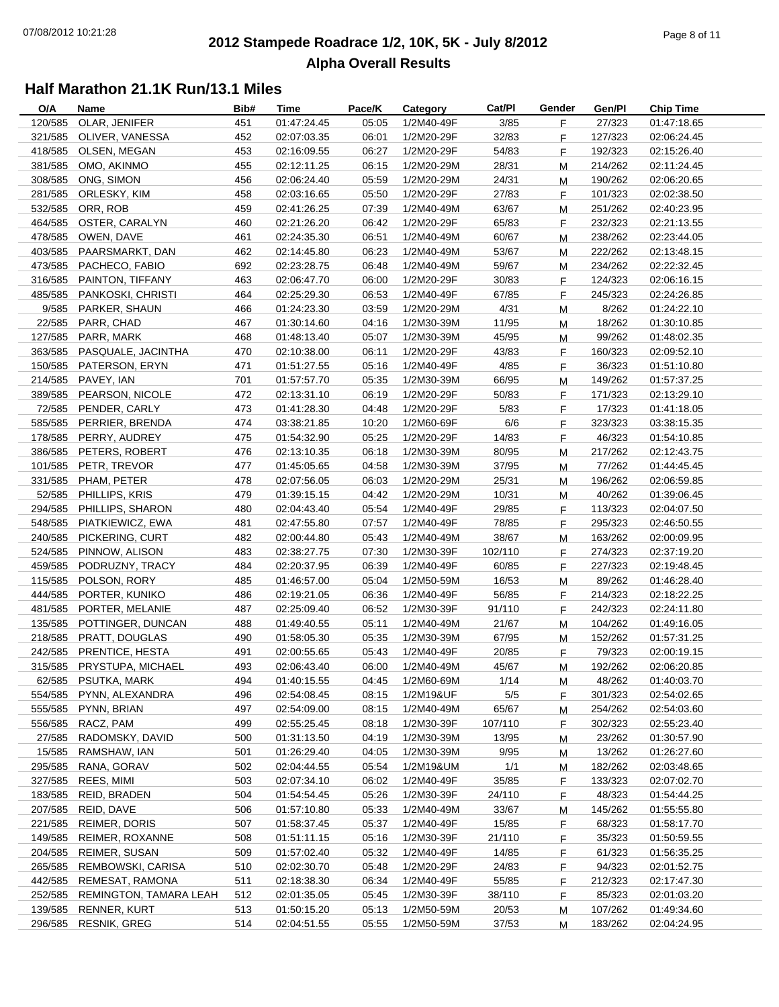#### **2012 Stampede Roadrace 1/2, 10K, 5K - July 8/2012**  $P_1$  and  $P_2$  of  $P_3$  of  $P_4$  of  $P_5$  of  $P_6$  of  $P_7$  of  $P_8$  of  $P_7$  of  $P_8$  of  $P_9$  of  $P_9$  of  $P_9$  of  $P_9$  of  $P_9$  of  $P_9$  of  $P_9$  of  $P_9$  of  $P_9$  of  $P_9$  of  $P_9$  of  $P_9$  of  $P_9$  of  $P_9$  of  $P_9$ **Alpha Overall Results**

| O/A     | Name                       | Bib# | Time        | Pace/K | Category   | Cat/PI  | Gender    | Gen/Pl  | <b>Chip Time</b> |
|---------|----------------------------|------|-------------|--------|------------|---------|-----------|---------|------------------|
| 120/585 | OLAR, JENIFER              | 451  | 01:47:24.45 | 05:05  | 1/2M40-49F | 3/85    | F.        | 27/323  | 01:47:18.65      |
| 321/585 | OLIVER, VANESSA            | 452  | 02:07:03.35 | 06:01  | 1/2M20-29F | 32/83   | F.        | 127/323 | 02:06:24.45      |
| 418/585 | OLSEN, MEGAN               | 453  | 02:16:09.55 | 06:27  | 1/2M20-29F | 54/83   | F         | 192/323 | 02:15:26.40      |
|         | 381/585 OMO, AKINMO        | 455  | 02:12:11.25 | 06:15  | 1/2M20-29M | 28/31   | M         | 214/262 | 02:11:24.45      |
| 308/585 | ONG, SIMON                 | 456  | 02:06:24.40 | 05:59  | 1/2M20-29M | 24/31   | м         | 190/262 | 02:06:20.65      |
| 281/585 | ORLESKY, KIM               | 458  | 02:03:16.65 | 05:50  | 1/2M20-29F | 27/83   | F         | 101/323 | 02:02:38.50      |
| 532/585 | ORR, ROB                   | 459  | 02:41:26.25 | 07:39  | 1/2M40-49M | 63/67   | M         | 251/262 | 02:40:23.95      |
| 464/585 | OSTER, CARALYN             | 460  | 02:21:26.20 | 06:42  | 1/2M20-29F | 65/83   | F         | 232/323 | 02:21:13.55      |
| 478/585 | OWEN, DAVE                 | 461  | 02:24:35.30 | 06:51  | 1/2M40-49M | 60/67   | M         | 238/262 | 02:23:44.05      |
| 403/585 | PAARSMARKT, DAN            | 462  | 02:14:45.80 | 06:23  | 1/2M40-49M | 53/67   | M         | 222/262 | 02:13:48.15      |
| 473/585 | PACHECO, FABIO             | 692  | 02:23:28.75 | 06:48  | 1/2M40-49M | 59/67   | M         | 234/262 | 02:22:32.45      |
|         | 316/585 PAINTON, TIFFANY   | 463  | 02:06:47.70 | 06:00  | 1/2M20-29F | 30/83   | F         | 124/323 |                  |
|         |                            |      |             |        |            |         |           |         | 02:06:16.15      |
| 485/585 | PANKOSKI, CHRISTI          | 464  | 02:25:29.30 | 06:53  | 1/2M40-49F | 67/85   | F.        | 245/323 | 02:24:26.85      |
|         | 9/585 PARKER, SHAUN        | 466  | 01:24:23.30 | 03:59  | 1/2M20-29M | 4/31    | M         | 8/262   | 01:24:22.10      |
| 22/585  | PARR, CHAD                 | 467  | 01:30:14.60 | 04:16  | 1/2M30-39M | 11/95   | м         | 18/262  | 01:30:10.85      |
|         | 127/585 PARR, MARK         | 468  | 01:48:13.40 | 05:07  | 1/2M30-39M | 45/95   | M         | 99/262  | 01:48:02.35      |
|         | 363/585 PASQUALE, JACINTHA | 470  | 02:10:38.00 | 06:11  | 1/2M20-29F | 43/83   | F         | 160/323 | 02:09:52.10      |
|         | 150/585 PATERSON, ERYN     | 471  | 01:51:27.55 | 05:16  | 1/2M40-49F | 4/85    | F.        | 36/323  | 01:51:10.80      |
| 214/585 | PAVEY, IAN                 | 701  | 01:57:57.70 | 05:35  | 1/2M30-39M | 66/95   | M         | 149/262 | 01:57:37.25      |
|         | 389/585 PEARSON, NICOLE    | 472  | 02:13:31.10 | 06:19  | 1/2M20-29F | 50/83   | F.        | 171/323 | 02:13:29.10      |
|         | 72/585 PENDER, CARLY       | 473  | 01:41:28.30 | 04:48  | 1/2M20-29F | 5/83    | F.        | 17/323  | 01:41:18.05      |
| 585/585 | PERRIER, BRENDA            | 474  | 03:38:21.85 | 10:20  | 1/2M60-69F | 6/6     | F.        | 323/323 | 03:38:15.35      |
|         | 178/585 PERRY, AUDREY      | 475  | 01:54:32.90 | 05:25  | 1/2M20-29F | 14/83   | F.        | 46/323  | 01:54:10.85      |
| 386/585 | PETERS, ROBERT             | 476  | 02:13:10.35 | 06:18  | 1/2M30-39M | 80/95   | M         | 217/262 | 02:12:43.75      |
|         | 101/585 PETR, TREVOR       | 477  | 01:45:05.65 | 04:58  | 1/2M30-39M | 37/95   | М         | 77/262  | 01:44:45.45      |
| 331/585 | PHAM, PETER                | 478  | 02:07:56.05 | 06:03  | 1/2M20-29M | 25/31   | M         | 196/262 | 02:06:59.85      |
| 52/585  | PHILLIPS, KRIS             | 479  | 01:39:15.15 | 04:42  | 1/2M20-29M | 10/31   | M         | 40/262  | 01:39:06.45      |
|         | 294/585 PHILLIPS, SHARON   | 480  | 02:04:43.40 | 05:54  | 1/2M40-49F | 29/85   | F.        | 113/323 | 02:04:07.50      |
|         | 548/585 PIATKIEWICZ, EWA   | 481  | 02:47:55.80 | 07:57  | 1/2M40-49F | 78/85   | F.        | 295/323 | 02:46:50.55      |
|         | 240/585 PICKERING, CURT    | 482  | 02:00:44.80 | 05:43  | 1/2M40-49M | 38/67   | M         | 163/262 | 02:00:09.95      |
| 524/585 | PINNOW, ALISON             | 483  | 02:38:27.75 | 07:30  | 1/2M30-39F | 102/110 | F         | 274/323 | 02:37:19.20      |
| 459/585 | PODRUZNY, TRACY            | 484  | 02:20:37.95 | 06:39  | 1/2M40-49F | 60/85   | F         | 227/323 | 02:19:48.45      |
| 115/585 | POLSON, RORY               | 485  | 01:46:57.00 | 05:04  | 1/2M50-59M | 16/53   |           | 89/262  |                  |
|         |                            |      |             |        |            |         | М         |         | 01:46:28.40      |
| 444/585 | PORTER, KUNIKO             | 486  | 02:19:21.05 | 06:36  | 1/2M40-49F | 56/85   | F.        | 214/323 | 02:18:22.25      |
| 481/585 | PORTER, MELANIE            | 487  | 02:25:09.40 | 06:52  | 1/2M30-39F | 91/110  | F.        | 242/323 | 02:24:11.80      |
| 135/585 | POTTINGER, DUNCAN          | 488  | 01:49:40.55 | 05:11  | 1/2M40-49M | 21/67   | ${\sf M}$ | 104/262 | 01:49:16.05      |
| 218/585 | PRATT, DOUGLAS             | 490  | 01:58:05.30 | 05:35  | 1/2M30-39M | 67/95   | м         | 152/262 | 01:57:31.25      |
|         | 242/585 PRENTICE, HESTA    | 491  | 02:00:55.65 | 05:43  | 1/2M40-49F | 20/85   | F.        | 79/323  | 02:00:19.15      |
|         | 315/585 PRYSTUPA. MICHAEL  | 493  | 02:06:43.40 | 06:00  | 1/2M40-49M | 45/67   | M         | 192/262 | 02:06:20.85      |
|         | 62/585 PSUTKA, MARK        | 494  | 01:40:15.55 | 04:45  | 1/2M60-69M | 1/14    | M         | 48/262  | 01:40:03.70      |
| 554/585 | PYNN, ALEXANDRA            | 496  | 02:54:08.45 | 08:15  | 1/2M19&UF  | 5/5     | F.        | 301/323 | 02:54:02.65      |
| 555/585 | PYNN, BRIAN                | 497  | 02:54:09.00 | 08:15  | 1/2M40-49M | 65/67   | M         | 254/262 | 02:54:03.60      |
| 556/585 | RACZ, PAM                  | 499  | 02:55:25.45 | 08:18  | 1/2M30-39F | 107/110 | F         | 302/323 | 02:55:23.40      |
| 27/585  | RADOMSKY, DAVID            | 500  | 01:31:13.50 | 04:19  | 1/2M30-39M | 13/95   | M         | 23/262  | 01:30:57.90      |
| 15/585  | RAMSHAW, IAN               | 501  | 01:26:29.40 | 04:05  | 1/2M30-39M | 9/95    | M         | 13/262  | 01:26:27.60      |
| 295/585 | RANA, GORAV                | 502  | 02:04:44.55 | 05:54  | 1/2M19&UM  | 1/1     | M         | 182/262 | 02:03:48.65      |
| 327/585 | REES, MIMI                 | 503  | 02:07:34.10 | 06:02  | 1/2M40-49F | 35/85   | F         | 133/323 | 02:07:02.70      |
| 183/585 | REID, BRADEN               | 504  | 01:54:54.45 | 05:26  | 1/2M30-39F | 24/110  | F         | 48/323  | 01:54:44.25      |
| 207/585 | REID, DAVE                 | 506  | 01:57:10.80 | 05:33  | 1/2M40-49M | 33/67   | M         | 145/262 | 01:55:55.80      |
| 221/585 | <b>REIMER, DORIS</b>       | 507  | 01:58:37.45 | 05:37  | 1/2M40-49F | 15/85   | F.        | 68/323  | 01:58:17.70      |
| 149/585 | REIMER, ROXANNE            | 508  | 01:51:11.15 | 05:16  | 1/2M30-39F | 21/110  | F         | 35/323  | 01:50:59.55      |
| 204/585 | <b>REIMER, SUSAN</b>       | 509  | 01:57:02.40 | 05:32  | 1/2M40-49F | 14/85   | F         | 61/323  | 01:56:35.25      |
| 265/585 | REMBOWSKI, CARISA          | 510  | 02:02:30.70 | 05:48  | 1/2M20-29F | 24/83   | F         | 94/323  | 02:01:52.75      |
| 442/585 | REMESAT, RAMONA            | 511  | 02:18:38.30 | 06:34  | 1/2M40-49F | 55/85   | F         | 212/323 | 02:17:47.30      |
| 252/585 | REMINGTON, TAMARA LEAH     | 512  | 02:01:35.05 | 05:45  | 1/2M30-39F | 38/110  | F         | 85/323  | 02:01:03.20      |
| 139/585 | RENNER, KURT               |      | 01:50:15.20 | 05:13  | 1/2M50-59M |         |           | 107/262 |                  |
|         |                            | 513  |             |        |            | 20/53   | M         |         | 01:49:34.60      |
| 296/585 | RESNIK, GREG               | 514  | 02:04:51.55 | 05:55  | 1/2M50-59M | 37/53   | М         | 183/262 | 02:04:24.95      |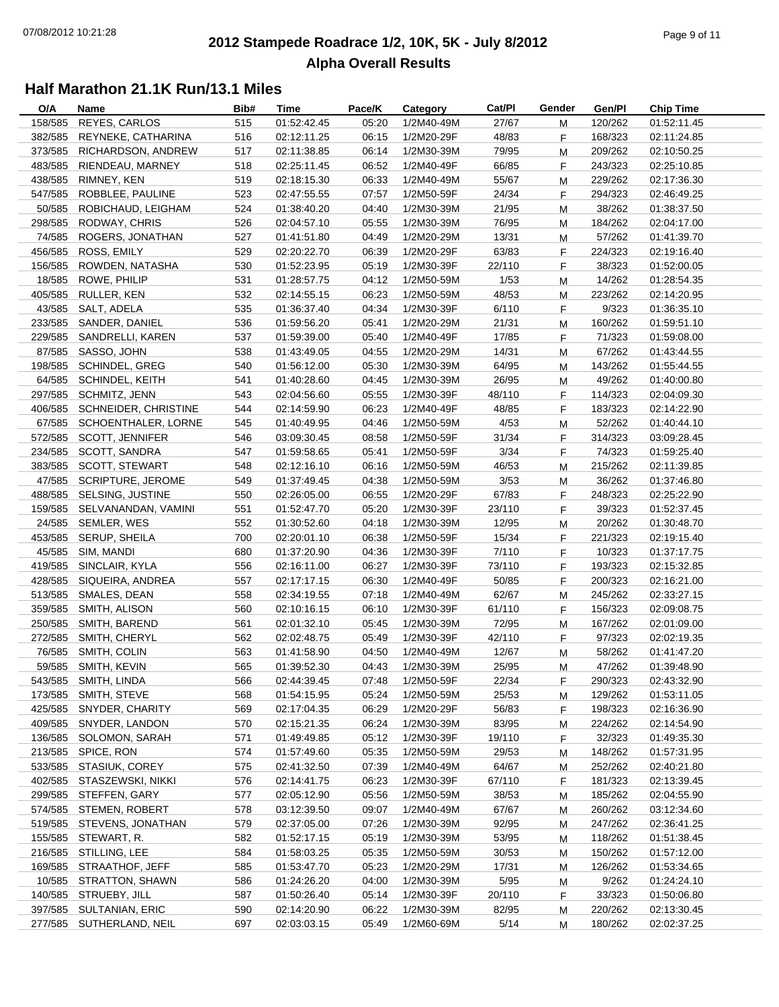#### **2012 Stampede Roadrace 1/2, 10K, 5K - July 8/2012** Page 9 of 11 **Alpha Overall Results**

| O/A     | Name                      | Bib# | Time                       | Pace/K | Category                 | Cat/Pl | Gender | Gen/Pl  | <b>Chip Time</b>           |
|---------|---------------------------|------|----------------------------|--------|--------------------------|--------|--------|---------|----------------------------|
| 158/585 | REYES, CARLOS             | 515  | 01:52:42.45                | 05:20  | 1/2M40-49M               | 27/67  | М      | 120/262 | 01:52:11.45                |
| 382/585 | REYNEKE, CATHARINA        | 516  | 02:12:11.25                | 06:15  | 1/2M20-29F               | 48/83  | F.     | 168/323 | 02:11:24.85                |
| 373/585 | RICHARDSON, ANDREW        | 517  | 02:11:38.85                | 06:14  | 1/2M30-39M               | 79/95  | M      | 209/262 | 02:10:50.25                |
| 483/585 | RIENDEAU, MARNEY          | 518  | 02:25:11.45                | 06:52  | 1/2M40-49F               | 66/85  | F      | 243/323 | 02:25:10.85                |
| 438/585 | RIMNEY, KEN               | 519  | 02:18:15.30                | 06:33  | 1/2M40-49M               | 55/67  | M      | 229/262 | 02:17:36.30                |
| 547/585 | ROBBLEE, PAULINE          | 523  | 02:47:55.55                | 07:57  | 1/2M50-59F               | 24/34  | F      | 294/323 | 02:46:49.25                |
| 50/585  | ROBICHAUD, LEIGHAM        | 524  | 01:38:40.20                | 04:40  | 1/2M30-39M               | 21/95  | M      | 38/262  | 01:38:37.50                |
| 298/585 | RODWAY, CHRIS             | 526  | 02:04:57.10                | 05:55  | 1/2M30-39M               | 76/95  | М      | 184/262 | 02:04:17.00                |
| 74/585  | ROGERS, JONATHAN          | 527  | 01:41:51.80                | 04:49  | 1/2M20-29M               | 13/31  | M      | 57/262  | 01:41:39.70                |
| 456/585 | ROSS, EMILY               | 529  | 02:20:22.70                | 06:39  | 1/2M20-29F               | 63/83  | F      | 224/323 | 02:19:16.40                |
| 156/585 | ROWDEN, NATASHA           | 530  | 01:52:23.95                | 05:19  | 1/2M30-39F               | 22/110 | F      | 38/323  | 01:52:00.05                |
| 18/585  | ROWE, PHILIP              | 531  | 01:28:57.75                | 04:12  | 1/2M50-59M               | 1/53   | M      | 14/262  | 01:28:54.35                |
| 405/585 | RULLER, KEN               | 532  | 02:14:55.15                | 06:23  | 1/2M50-59M               | 48/53  | M      | 223/262 | 02:14:20.95                |
| 43/585  | SALT, ADELA               | 535  | 01:36:37.40                | 04:34  | 1/2M30-39F               | 6/110  | F.     | 9/323   | 01:36:35.10                |
| 233/585 | SANDER, DANIEL            | 536  | 01:59:56.20                | 05:41  | 1/2M20-29M               | 21/31  | M      | 160/262 | 01:59:51.10                |
| 229/585 | SANDRELLI, KAREN          | 537  | 01:59:39.00                | 05:40  | 1/2M40-49F               | 17/85  | F.     | 71/323  | 01:59:08.00                |
| 87/585  | SASSO, JOHN               | 538  | 01:43:49.05                | 04:55  | 1/2M20-29M               | 14/31  | М      | 67/262  | 01:43:44.55                |
| 198/585 | <b>SCHINDEL, GREG</b>     | 540  | 01:56:12.00                | 05:30  | 1/2M30-39M               | 64/95  | М      | 143/262 | 01:55:44.55                |
| 64/585  | SCHINDEL, KEITH           | 541  | 01:40:28.60                | 04:45  | 1/2M30-39M               | 26/95  | M      | 49/262  | 01:40:00.80                |
| 297/585 | SCHMITZ, JENN             | 543  | 02:04:56.60                | 05:55  | 1/2M30-39F               | 48/110 | F      | 114/323 | 02:04:09.30                |
| 406/585 | SCHNEIDER, CHRISTINE      | 544  | 02:14:59.90                | 06:23  | 1/2M40-49F               | 48/85  | F      | 183/323 | 02:14:22.90                |
| 67/585  | SCHOENTHALER, LORNE       | 545  | 01:40:49.95                | 04:46  | 1/2M50-59M               | 4/53   | M      | 52/262  | 01:40:44.10                |
| 572/585 | SCOTT, JENNIFER           | 546  | 03:09:30.45                | 08:58  | 1/2M50-59F               | 31/34  | F      | 314/323 | 03:09:28.45                |
| 234/585 | SCOTT, SANDRA             | 547  | 01:59:58.65                | 05:41  | 1/2M50-59F               | 3/34   | F.     | 74/323  | 01:59:25.40                |
| 383/585 | <b>SCOTT, STEWART</b>     | 548  | 02:12:16.10                | 06:16  | 1/2M50-59M               | 46/53  | М      | 215/262 | 02:11:39.85                |
| 47/585  | <b>SCRIPTURE, JEROME</b>  | 549  | 01:37:49.45                | 04:38  | 1/2M50-59M               | 3/53   | М      | 36/262  | 01:37:46.80                |
| 488/585 | SELSING, JUSTINE          | 550  | 02:26:05.00                | 06:55  | 1/2M20-29F               | 67/83  | F      | 248/323 | 02:25:22.90                |
| 159/585 | SELVANANDAN, VAMINI       | 551  | 01:52:47.70                | 05:20  | 1/2M30-39F               | 23/110 | F      | 39/323  | 01:52:37.45                |
| 24/585  | SEMLER, WES               | 552  | 01:30:52.60                | 04:18  | 1/2M30-39M               | 12/95  | M      | 20/262  | 01:30:48.70                |
| 453/585 | SERUP, SHEILA             | 700  | 02:20:01.10                | 06:38  | 1/2M50-59F               | 15/34  | F      | 221/323 | 02:19:15.40                |
| 45/585  | SIM, MANDI                | 680  | 01:37:20.90                | 04:36  | 1/2M30-39F               | 7/110  | F.     | 10/323  | 01:37:17.75                |
| 419/585 | SINCLAIR, KYLA            | 556  | 02:16:11.00                | 06:27  | 1/2M30-39F               | 73/110 | F      | 193/323 | 02:15:32.85                |
| 428/585 | SIQUEIRA, ANDREA          | 557  | 02:17:17.15                | 06:30  | 1/2M40-49F               | 50/85  |        | 200/323 |                            |
| 513/585 | SMALES, DEAN              | 558  |                            | 07:18  |                          | 62/67  | F      | 245/262 | 02:16:21.00                |
| 359/585 | SMITH, ALISON             | 560  | 02:34:19.55<br>02:10:16.15 | 06:10  | 1/2M40-49M<br>1/2M30-39F |        | М      | 156/323 | 02:33:27.15<br>02:09:08.75 |
|         | SMITH, BAREND             |      | 02:01:32.10                |        |                          | 61/110 | F.     |         |                            |
| 250/585 |                           | 561  |                            | 05:45  | 1/2M30-39M               | 72/95  | M      | 167/262 | 02:01:09.00                |
| 272/585 | SMITH, CHERYL             | 562  | 02:02:48.75                | 05:49  | 1/2M30-39F               | 42/110 | F.     | 97/323  | 02:02:19.35                |
| 76/585  | SMITH, COLIN              | 563  | 01:41:58.90                | 04:50  | 1/2M40-49M               | 12/67  | M      | 58/262  | 01:41:47.20                |
|         | 59/585 SMITH, KEVIN       | 565  | 01:39:52.30                | 04:43  | 1/2M30-39M               | 25/95  | M      | 47/262  | 01:39:48.90                |
|         | 543/585 SMITH, LINDA      | 566  | 02:44:39.45                | 07:48  | 1/2M50-59F               | 22/34  | F      | 290/323 | 02:43:32.90                |
| 173/585 | SMITH, STEVE              | 568  | 01:54:15.95                | 05:24  | 1/2M50-59M               | 25/53  | M      | 129/262 | 01:53:11.05                |
|         | 425/585 SNYDER, CHARITY   | 569  | 02:17:04.35                | 06:29  | 1/2M20-29F               | 56/83  | F.     | 198/323 | 02:16:36.90                |
|         | 409/585 SNYDER, LANDON    | 570  | 02:15:21.35                | 06:24  | 1/2M30-39M               | 83/95  | M      | 224/262 | 02:14:54.90                |
| 136/585 | SOLOMON, SARAH            | 571  | 01:49:49.85                | 05:12  | 1/2M30-39F               | 19/110 | F.     | 32/323  | 01:49:35.30                |
|         | 213/585 SPICE, RON        | 574  | 01:57:49.60                | 05:35  | 1/2M50-59M               | 29/53  | M      | 148/262 | 01:57:31.95                |
|         | 533/585 STASIUK, COREY    | 575  | 02:41:32.50                | 07:39  | 1/2M40-49M               | 64/67  | M      | 252/262 | 02:40:21.80                |
|         | 402/585 STASZEWSKI, NIKKI | 576  | 02:14:41.75                | 06:23  | 1/2M30-39F               | 67/110 | F.     | 181/323 | 02:13:39.45                |
| 299/585 | STEFFEN, GARY             | 577  | 02:05:12.90                | 05:56  | 1/2M50-59M               | 38/53  | M      | 185/262 | 02:04:55.90                |
|         | 574/585 STEMEN, ROBERT    | 578  | 03:12:39.50                | 09:07  | 1/2M40-49M               | 67/67  | M      | 260/262 | 03:12:34.60                |
|         | 519/585 STEVENS, JONATHAN | 579  | 02:37:05.00                | 07:26  | 1/2M30-39M               | 92/95  | M      | 247/262 | 02:36:41.25                |
|         | 155/585 STEWART, R.       | 582  | 01:52:17.15                | 05:19  | 1/2M30-39M               | 53/95  | M      | 118/262 | 01:51:38.45                |
| 216/585 | STILLING, LEE             | 584  | 01:58:03.25                | 05:35  | 1/2M50-59M               | 30/53  | M      | 150/262 | 01:57:12.00                |
|         | 169/585 STRAATHOF, JEFF   | 585  | 01:53:47.70                | 05:23  | 1/2M20-29M               | 17/31  | M      | 126/262 | 01:53:34.65                |
|         | 10/585 STRATTON, SHAWN    | 586  | 01:24:26.20                | 04:00  | 1/2M30-39M               | 5/95   | М      | 9/262   | 01:24:24.10                |
|         | 140/585 STRUEBY, JILL     | 587  | 01:50:26.40                | 05:14  | 1/2M30-39F               | 20/110 | F.     | 33/323  | 01:50:06.80                |
| 397/585 | SULTANIAN, ERIC           | 590  | 02:14:20.90                | 06:22  | 1/2M30-39M               | 82/95  | M      | 220/262 | 02:13:30.45                |
|         | 277/585 SUTHERLAND, NEIL  | 697  | 02:03:03.15                | 05:49  | 1/2M60-69M               | 5/14   | M      | 180/262 | 02:02:37.25                |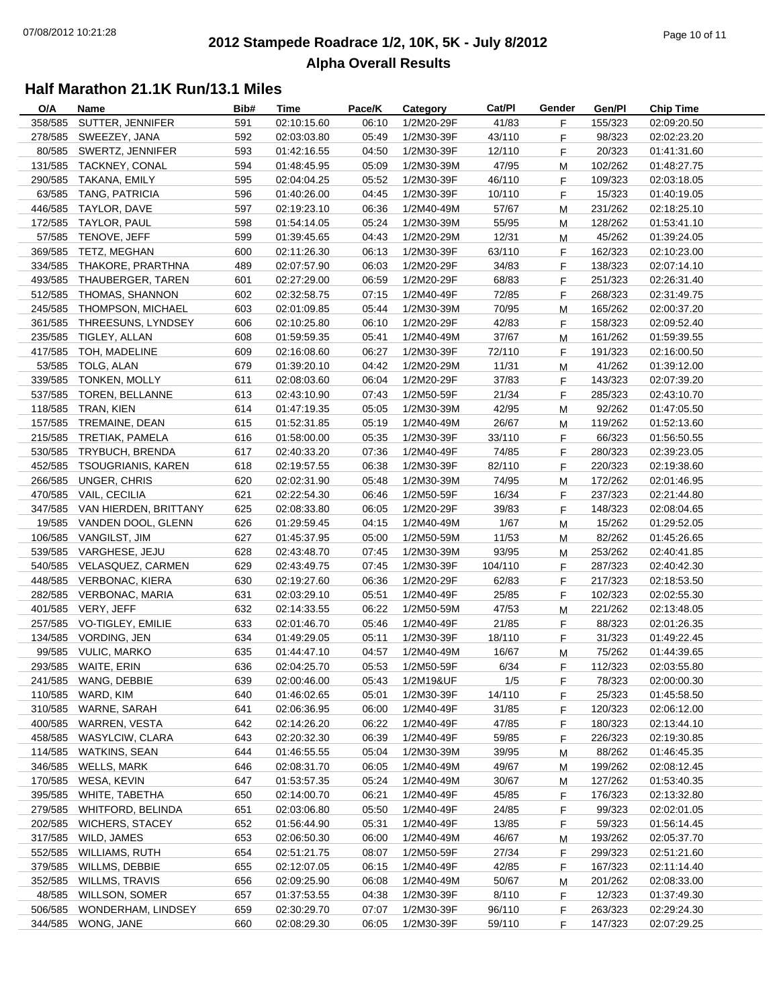#### **2012 Stampede Roadrace 1/2, 10K, 5K - July 8/2012** Page 10 of 11 **Alpha Overall Results**

| O/A     | Name                          | Bib# | Time        | Pace/K | Category   | Cat/PI  | Gender | Gen/Pl  | <b>Chip Time</b> |
|---------|-------------------------------|------|-------------|--------|------------|---------|--------|---------|------------------|
| 358/585 | SUTTER, JENNIFER              | 591  | 02:10:15.60 | 06:10  | 1/2M20-29F | 41/83   | F      | 155/323 | 02:09:20.50      |
| 278/585 | SWEEZEY, JANA                 | 592  | 02:03:03.80 | 05:49  | 1/2M30-39F | 43/110  | F      | 98/323  | 02:02:23.20      |
| 80/585  | SWERTZ, JENNIFER              | 593  | 01:42:16.55 | 04:50  | 1/2M30-39F | 12/110  | F      | 20/323  | 01:41:31.60      |
| 131/585 | TACKNEY, CONAL                | 594  | 01:48:45.95 | 05:09  | 1/2M30-39M | 47/95   | M      | 102/262 | 01:48:27.75      |
| 290/585 | TAKANA, EMILY                 | 595  | 02:04:04.25 | 05:52  | 1/2M30-39F | 46/110  | F      | 109/323 | 02:03:18.05      |
| 63/585  | TANG, PATRICIA                | 596  | 01:40:26.00 | 04:45  | 1/2M30-39F | 10/110  | F      | 15/323  | 01:40:19.05      |
| 446/585 | TAYLOR, DAVE                  | 597  | 02:19:23.10 | 06:36  | 1/2M40-49M | 57/67   | М      | 231/262 | 02:18:25.10      |
| 172/585 | TAYLOR, PAUL                  | 598  | 01:54:14.05 | 05:24  | 1/2M30-39M | 55/95   | М      | 128/262 | 01:53:41.10      |
| 57/585  | TENOVE, JEFF                  | 599  | 01:39:45.65 | 04:43  | 1/2M20-29M | 12/31   | M      | 45/262  | 01:39:24.05      |
| 369/585 | TETZ, MEGHAN                  | 600  | 02:11:26.30 | 06:13  | 1/2M30-39F | 63/110  | F      | 162/323 | 02:10:23.00      |
| 334/585 | THAKORE, PRARTHNA             | 489  | 02:07:57.90 | 06:03  | 1/2M20-29F | 34/83   | F      | 138/323 | 02:07:14.10      |
| 493/585 | THAUBERGER, TAREN             | 601  | 02:27:29.00 | 06:59  | 1/2M20-29F | 68/83   | F      | 251/323 | 02:26:31.40      |
|         |                               |      |             |        |            |         |        |         |                  |
|         | 512/585 THOMAS, SHANNON       | 602  | 02:32:58.75 | 07:15  | 1/2M40-49F | 72/85   | F      | 268/323 | 02:31:49.75      |
|         | 245/585 THOMPSON, MICHAEL     | 603  | 02:01:09.85 | 05:44  | 1/2M30-39M | 70/95   | M      | 165/262 | 02:00:37.20      |
| 361/585 | THREESUNS, LYNDSEY            | 606  | 02:10:25.80 | 06:10  | 1/2M20-29F | 42/83   | F      | 158/323 | 02:09:52.40      |
|         | 235/585 TIGLEY, ALLAN         | 608  | 01:59:59.35 | 05:41  | 1/2M40-49M | 37/67   | М      | 161/262 | 01:59:39.55      |
|         | 417/585 TOH, MADELINE         | 609  | 02:16:08.60 | 06:27  | 1/2M30-39F | 72/110  | F      | 191/323 | 02:16:00.50      |
|         | 53/585 TOLG, ALAN             | 679  | 01:39:20.10 | 04:42  | 1/2M20-29M | 11/31   | М      | 41/262  | 01:39:12.00      |
|         | 339/585 TONKEN, MOLLY         | 611  | 02:08:03.60 | 06:04  | 1/2M20-29F | 37/83   | F      | 143/323 | 02:07:39.20      |
| 537/585 | TOREN, BELLANNE               | 613  | 02:43:10.90 | 07:43  | 1/2M50-59F | 21/34   | F      | 285/323 | 02:43:10.70      |
|         | 118/585 TRAN, KIEN            | 614  | 01:47:19.35 | 05:05  | 1/2M30-39M | 42/95   | M      | 92/262  | 01:47:05.50      |
|         | 157/585 TREMAINE, DEAN        | 615  | 01:52:31.85 | 05:19  | 1/2M40-49M | 26/67   | М      | 119/262 | 01:52:13.60      |
|         | 215/585 TRETIAK, PAMELA       | 616  | 01:58:00.00 | 05:35  | 1/2M30-39F | 33/110  | F.     | 66/323  | 01:56:50.55      |
|         | 530/585 TRYBUCH, BRENDA       | 617  | 02:40:33.20 | 07:36  | 1/2M40-49F | 74/85   | F      | 280/323 | 02:39:23.05      |
|         | 452/585 TSOUGRIANIS, KAREN    | 618  | 02:19:57.55 | 06:38  | 1/2M30-39F | 82/110  | F      | 220/323 | 02:19:38.60      |
| 266/585 | UNGER, CHRIS                  | 620  | 02:02:31.90 | 05:48  | 1/2M30-39M | 74/95   | М      | 172/262 | 02:01:46.95      |
|         | 470/585 VAIL, CECILIA         | 621  | 02:22:54.30 | 06:46  | 1/2M50-59F | 16/34   | F      | 237/323 | 02:21:44.80      |
|         | 347/585 VAN HIERDEN, BRITTANY | 625  | 02:08:33.80 | 06:05  | 1/2M20-29F | 39/83   | F      | 148/323 | 02:08:04.65      |
|         | 19/585 VANDEN DOOL, GLENN     | 626  | 01:29:59.45 | 04:15  | 1/2M40-49M | 1/67    | M      | 15/262  | 01:29:52.05      |
|         | 106/585 VANGILST, JIM         | 627  | 01:45:37.95 | 05:00  | 1/2M50-59M | 11/53   | М      | 82/262  | 01:45:26.65      |
|         | 539/585 VARGHESE, JEJU        | 628  | 02:43:48.70 | 07:45  | 1/2M30-39M | 93/95   | М      | 253/262 | 02:40:41.85      |
|         | 540/585 VELASQUEZ, CARMEN     | 629  | 02:43:49.75 | 07:45  | 1/2M30-39F | 104/110 | F      | 287/323 | 02:40:42.30      |
|         | 448/585 VERBONAC, KIERA       | 630  | 02:19:27.60 | 06:36  | 1/2M20-29F | 62/83   | F      | 217/323 | 02:18:53.50      |
|         | 282/585 VERBONAC, MARIA       | 631  | 02:03:29.10 | 05:51  | 1/2M40-49F | 25/85   | F      | 102/323 | 02:02:55.30      |
|         | 401/585 VERY, JEFF            | 632  | 02:14:33.55 | 06:22  | 1/2M50-59M | 47/53   | М      | 221/262 | 02:13:48.05      |
|         | 257/585 VO-TIGLEY, EMILIE     | 633  | 02:01:46.70 | 05:46  | 1/2M40-49F | 21/85   | F      | 88/323  | 02:01:26.35      |
|         | 134/585 VORDING, JEN          | 634  | 01:49:29.05 | 05:11  | 1/2M30-39F | 18/110  | F      | 31/323  | 01:49:22.45      |
|         | 99/585 VULIC, MARKO           | 635  | 01:44:47.10 | 04:57  | 1/2M40-49M | 16/67   | M      | 75/262  | 01:44:39.65      |
|         | 293/585 WAITE, ERIN           | 636  | 02:04:25.70 | 05:53  | 1/2M50-59F | 6/34    | F      | 112/323 | 02:03:55.80      |
|         | 241/585 WANG, DEBBIE          | 639  | 02:00:46.00 | 05:43  | 1/2M19&UF  | 1/5     | F      | 78/323  | 02:00:00.30      |
|         | 110/585 WARD, KIM             | 640  | 01:46:02.65 | 05:01  | 1/2M30-39F | 14/110  |        | 25/323  | 01:45:58.50      |
|         | 310/585 WARNE, SARAH          |      | 02:06:36.95 |        |            |         | F.     | 120/323 |                  |
|         |                               | 641  |             | 06:00  | 1/2M40-49F | 31/85   | F.     |         | 02:06:12.00      |
| 400/585 | WARREN, VESTA                 | 642  | 02:14:26.20 | 06:22  | 1/2M40-49F | 47/85   | F.     | 180/323 | 02:13:44.10      |
|         | 458/585 WASYLCIW, CLARA       | 643  | 02:20:32.30 | 06:39  | 1/2M40-49F | 59/85   | F      | 226/323 | 02:19:30.85      |
| 114/585 | <b>WATKINS, SEAN</b>          | 644  | 01:46:55.55 | 05:04  | 1/2M30-39M | 39/95   | M      | 88/262  | 01:46:45.35      |
| 346/585 | WELLS, MARK                   | 646  | 02:08:31.70 | 06:05  | 1/2M40-49M | 49/67   | M      | 199/262 | 02:08:12.45      |
|         | 170/585 WESA, KEVIN           | 647  | 01:53:57.35 | 05:24  | 1/2M40-49M | 30/67   | M      | 127/262 | 01:53:40.35      |
| 395/585 | WHITE, TABETHA                | 650  | 02:14:00.70 | 06:21  | 1/2M40-49F | 45/85   | F      | 176/323 | 02:13:32.80      |
| 279/585 | <b>WHITFORD, BELINDA</b>      | 651  | 02:03:06.80 | 05:50  | 1/2M40-49F | 24/85   | F.     | 99/323  | 02:02:01.05      |
| 202/585 | <b>WICHERS, STACEY</b>        | 652  | 01:56:44.90 | 05:31  | 1/2M40-49F | 13/85   | F.     | 59/323  | 01:56:14.45      |
| 317/585 | WILD, JAMES                   | 653  | 02:06:50.30 | 06:00  | 1/2M40-49M | 46/67   | M      | 193/262 | 02:05:37.70      |
| 552/585 | <b>WILLIAMS, RUTH</b>         | 654  | 02:51:21.75 | 08:07  | 1/2M50-59F | 27/34   | F      | 299/323 | 02:51:21.60      |
| 379/585 | WILLMS, DEBBIE                | 655  | 02:12:07.05 | 06:15  | 1/2M40-49F | 42/85   | F      | 167/323 | 02:11:14.40      |
| 352/585 | WILLMS, TRAVIS                | 656  | 02:09:25.90 | 06:08  | 1/2M40-49M | 50/67   | M      | 201/262 | 02:08:33.00      |
| 48/585  | <b>WILLSON, SOMER</b>         | 657  | 01:37:53.55 | 04:38  | 1/2M30-39F | 8/110   | F.     | 12/323  | 01:37:49.30      |
| 506/585 | WONDERHAM, LINDSEY            | 659  | 02:30:29.70 | 07:07  | 1/2M30-39F | 96/110  | F.     | 263/323 | 02:29:24.30      |
|         | 344/585 WONG, JANE            | 660  | 02:08:29.30 | 06:05  | 1/2M30-39F | 59/110  | F.     | 147/323 | 02:07:29.25      |